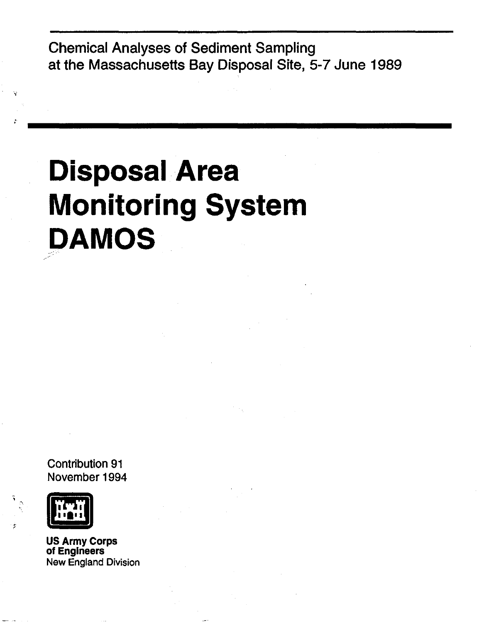Chemical Analyses of Sediment Sampling at the Massachusetts Bay Disposal Site, 5-7 June 1989

# **Disposal Area Monitoring System DAMOS**

Contribution 91 November 1994



US Army Corps of Engineers New England Division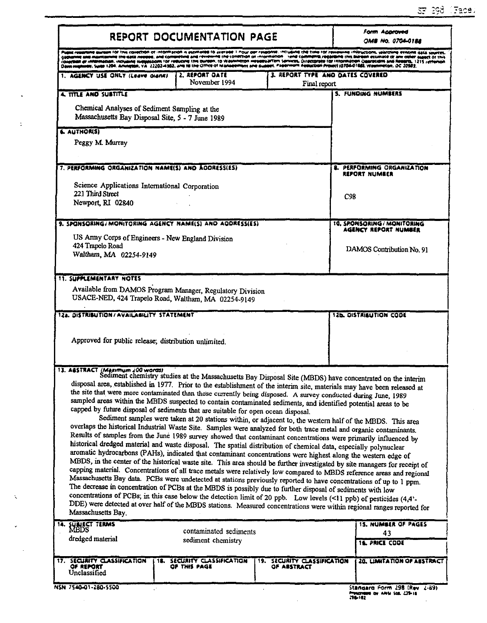|                                                                                                   | REPORT DOCUMENTATION PAGE                                                                                                                                                                                                                                                                                                                                                                                                                                                                                                                                                                                                                                                                                                                                                                                                                                                                                                                                                                                                                                                                                                                                                                                                                                                                                                                                                                                                        |                                                                                                                 |                                                                                                                                                                                                                                                                                                                                                                                                                                                                                                                                      |  |  |  |  |  |  |  |
|---------------------------------------------------------------------------------------------------|----------------------------------------------------------------------------------------------------------------------------------------------------------------------------------------------------------------------------------------------------------------------------------------------------------------------------------------------------------------------------------------------------------------------------------------------------------------------------------------------------------------------------------------------------------------------------------------------------------------------------------------------------------------------------------------------------------------------------------------------------------------------------------------------------------------------------------------------------------------------------------------------------------------------------------------------------------------------------------------------------------------------------------------------------------------------------------------------------------------------------------------------------------------------------------------------------------------------------------------------------------------------------------------------------------------------------------------------------------------------------------------------------------------------------------|-----------------------------------------------------------------------------------------------------------------|--------------------------------------------------------------------------------------------------------------------------------------------------------------------------------------------------------------------------------------------------------------------------------------------------------------------------------------------------------------------------------------------------------------------------------------------------------------------------------------------------------------------------------------|--|--|--|--|--|--|--|
|                                                                                                   | Opus nighteby, Suite 1204. Anington, VA. 22202-4302, and to the Office of Management and Support Papermont Appucton Project (0704-0188), Wounineton, OC 20503.                                                                                                                                                                                                                                                                                                                                                                                                                                                                                                                                                                                                                                                                                                                                                                                                                                                                                                                                                                                                                                                                                                                                                                                                                                                                   |                                                                                                                 | id aurean for the collection of information is espinated to average.1 Pour per respons, including the time for reviewing linkructions, searching existing quartes,<br>post and maintaining the data needed, and compreting and revenive the collection of information . Yend commems regarding this blinden estimate of any other aspect of this<br>collection or information, including surgestions for reducing this burdon, to Washindton Headquarters Services, Directorate for Information Operations and Regera, 1215 Jersenon |  |  |  |  |  |  |  |
| 1. AGENCY USE ONLY (Leave olank)                                                                  | 2. REPORT DATE<br>November 1994                                                                                                                                                                                                                                                                                                                                                                                                                                                                                                                                                                                                                                                                                                                                                                                                                                                                                                                                                                                                                                                                                                                                                                                                                                                                                                                                                                                                  | 3. REPORT TYPE AND DATES COVERED<br>Final report                                                                |                                                                                                                                                                                                                                                                                                                                                                                                                                                                                                                                      |  |  |  |  |  |  |  |
| 4. TITLE AND SUBTITLE                                                                             |                                                                                                                                                                                                                                                                                                                                                                                                                                                                                                                                                                                                                                                                                                                                                                                                                                                                                                                                                                                                                                                                                                                                                                                                                                                                                                                                                                                                                                  |                                                                                                                 | <b>5. FUNDING NUMBERS</b>                                                                                                                                                                                                                                                                                                                                                                                                                                                                                                            |  |  |  |  |  |  |  |
| Chemical Analyses of Sediment Sampling at the<br>Massachusetts Bay Disposal Site, 5 - 7 June 1989 |                                                                                                                                                                                                                                                                                                                                                                                                                                                                                                                                                                                                                                                                                                                                                                                                                                                                                                                                                                                                                                                                                                                                                                                                                                                                                                                                                                                                                                  |                                                                                                                 |                                                                                                                                                                                                                                                                                                                                                                                                                                                                                                                                      |  |  |  |  |  |  |  |
| <b>6. AUTHORIST</b><br>Peggy M. Murray                                                            |                                                                                                                                                                                                                                                                                                                                                                                                                                                                                                                                                                                                                                                                                                                                                                                                                                                                                                                                                                                                                                                                                                                                                                                                                                                                                                                                                                                                                                  |                                                                                                                 |                                                                                                                                                                                                                                                                                                                                                                                                                                                                                                                                      |  |  |  |  |  |  |  |
| 7. PERFORMING ORGANIZATION NAME(S) AND ADDRESS(ES)                                                |                                                                                                                                                                                                                                                                                                                                                                                                                                                                                                                                                                                                                                                                                                                                                                                                                                                                                                                                                                                                                                                                                                                                                                                                                                                                                                                                                                                                                                  |                                                                                                                 | <b>8. PERFORMING ORGANIZATION</b><br>REPORT NUMBER                                                                                                                                                                                                                                                                                                                                                                                                                                                                                   |  |  |  |  |  |  |  |
| Science Applications International Corporation<br>221 Third Street<br>Newport, RI 02840           |                                                                                                                                                                                                                                                                                                                                                                                                                                                                                                                                                                                                                                                                                                                                                                                                                                                                                                                                                                                                                                                                                                                                                                                                                                                                                                                                                                                                                                  |                                                                                                                 | C <sub>98</sub>                                                                                                                                                                                                                                                                                                                                                                                                                                                                                                                      |  |  |  |  |  |  |  |
|                                                                                                   | 9. SPONSORING/MONITORING AGENCY NAME(S) AND ADDRESS(ES)                                                                                                                                                                                                                                                                                                                                                                                                                                                                                                                                                                                                                                                                                                                                                                                                                                                                                                                                                                                                                                                                                                                                                                                                                                                                                                                                                                          |                                                                                                                 | 10. SPONSORING / MONITORING                                                                                                                                                                                                                                                                                                                                                                                                                                                                                                          |  |  |  |  |  |  |  |
|                                                                                                   | US Army Corps of Engineers - New England Division                                                                                                                                                                                                                                                                                                                                                                                                                                                                                                                                                                                                                                                                                                                                                                                                                                                                                                                                                                                                                                                                                                                                                                                                                                                                                                                                                                                |                                                                                                                 | AGENCY REPORT NUMBER                                                                                                                                                                                                                                                                                                                                                                                                                                                                                                                 |  |  |  |  |  |  |  |
| 424 Trapelo Road<br>Waltham, MA 02254-9149                                                        |                                                                                                                                                                                                                                                                                                                                                                                                                                                                                                                                                                                                                                                                                                                                                                                                                                                                                                                                                                                                                                                                                                                                                                                                                                                                                                                                                                                                                                  |                                                                                                                 | DAMOS Contribution No. 91                                                                                                                                                                                                                                                                                                                                                                                                                                                                                                            |  |  |  |  |  |  |  |
| <b>11. SUPPLEMENTARY NOTES</b>                                                                    |                                                                                                                                                                                                                                                                                                                                                                                                                                                                                                                                                                                                                                                                                                                                                                                                                                                                                                                                                                                                                                                                                                                                                                                                                                                                                                                                                                                                                                  |                                                                                                                 |                                                                                                                                                                                                                                                                                                                                                                                                                                                                                                                                      |  |  |  |  |  |  |  |
| 12a. DISTRIBUTION/AVAILABILITY STATEMENT<br>Approved for public release; distribution unlimited.  | USACE-NED, 424 Trapelo Road, Waltham, MA 02254-9149                                                                                                                                                                                                                                                                                                                                                                                                                                                                                                                                                                                                                                                                                                                                                                                                                                                                                                                                                                                                                                                                                                                                                                                                                                                                                                                                                                              |                                                                                                                 | <b>12b. DISTRIBUTION CODE</b>                                                                                                                                                                                                                                                                                                                                                                                                                                                                                                        |  |  |  |  |  |  |  |
|                                                                                                   |                                                                                                                                                                                                                                                                                                                                                                                                                                                                                                                                                                                                                                                                                                                                                                                                                                                                                                                                                                                                                                                                                                                                                                                                                                                                                                                                                                                                                                  |                                                                                                                 |                                                                                                                                                                                                                                                                                                                                                                                                                                                                                                                                      |  |  |  |  |  |  |  |
| 13. ABSTRACT (Maximum 200 words)                                                                  | Sediment chemistry studies at the Massachusetts Bay Disposal Site (MBDS) have concentrated on the interim<br>disposal area, established in 1977. Prior to the establishment of the interim site, materials may have been released at<br>the site that were more contaminated than those currently being disposed. A survey conducted during June, 1989                                                                                                                                                                                                                                                                                                                                                                                                                                                                                                                                                                                                                                                                                                                                                                                                                                                                                                                                                                                                                                                                           |                                                                                                                 |                                                                                                                                                                                                                                                                                                                                                                                                                                                                                                                                      |  |  |  |  |  |  |  |
|                                                                                                   | capped by future disposal of sediments that are suitable for open ocean disposal.<br>Sediment samples were taken at 20 stations within, or adjacent to, the western half of the MBDS. This area<br>overlaps the historical Industrial Waste Site. Samples were analyzed for both trace metal and organic contaminants.<br>Results of samples from the June 1989 survey showed that contaminant concentrations were primarily influenced by<br>historical dredged material and waste disposal. The spatial distribution of chemical data, especially polynuclear<br>aromatic hydrocarbons (PAHs), indicated that contaminant concentrations were highest along the western edge of<br>MBDS, in the center of the historical waste site. This area should be further investigated by site managers for receipt of<br>capping material. Concentrations of all trace metals were relatively low compared to MBDS reference areas and regional<br>Massachusetts Bay data. PCBs were undetected at stations previously reported to have concentrations of up to 1 ppm.<br>The decrease in concentration of PCBs at the MBDS is possibly due to further disposal of sediments with low<br>concentrations of PCBs; in this case below the detection limit of 20 ppb. Low levels (<11 ppb) of pesticides (4,4'-<br>DDE) were detected at over half of the MBDS stations. Measured concentrations were within regional ranges reported for | sampled areas within the MBDS suspected to contain contaminated sediments, and identified potential areas to be |                                                                                                                                                                                                                                                                                                                                                                                                                                                                                                                                      |  |  |  |  |  |  |  |
| Massachusetts Bay.<br><b><i>SUBJECT TERMS</i></b>                                                 |                                                                                                                                                                                                                                                                                                                                                                                                                                                                                                                                                                                                                                                                                                                                                                                                                                                                                                                                                                                                                                                                                                                                                                                                                                                                                                                                                                                                                                  |                                                                                                                 | <b>15. NUMBER OF PAGES</b>                                                                                                                                                                                                                                                                                                                                                                                                                                                                                                           |  |  |  |  |  |  |  |
| 14.<br>MEDS<br>dredged material                                                                   | contaminated sediments<br>sediment chemistry                                                                                                                                                                                                                                                                                                                                                                                                                                                                                                                                                                                                                                                                                                                                                                                                                                                                                                                                                                                                                                                                                                                                                                                                                                                                                                                                                                                     |                                                                                                                 | 43<br>16. PRICE COOK                                                                                                                                                                                                                                                                                                                                                                                                                                                                                                                 |  |  |  |  |  |  |  |

 $\ddot{\psi}$ 

 $\ddot{\phantom{0}}$ 

 $\sim$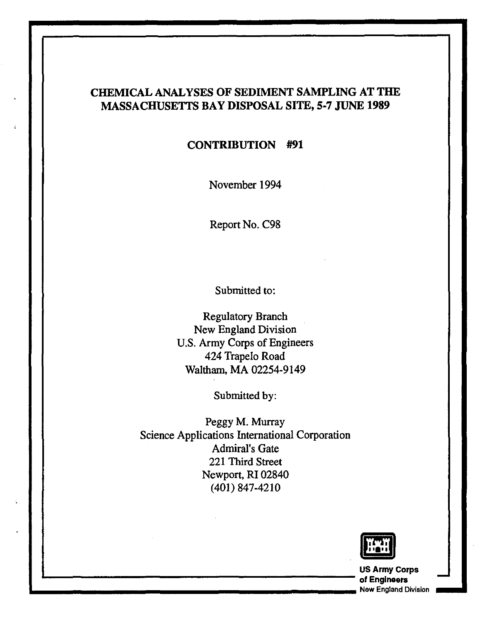## CHEMICAL ANALYSES OF SEDIMENT SAMPLING AT THE MASSACHUSETTS BAY DISPOSAL SITE, 5-7 JUNE 1989

#### CONTRIBUTION #91

November 1994

Report No. C98

Submitted to:

Regulatory Branch New England Division U.S. Army Corps of Engineers 424 Trapelo Road Waltham, MA 02254-9149

Submitted by:

Peggy M. Murray Science Applications International Corporation Admiral's Gate 221 Third Street Newport, RI 02840 (401) 847-4210



US Army Corps '------------------------ of Engineers - **.... \_\_\_\_\_\_\_\_\_\_\_\_\_\_\_\_\_\_\_\_\_\_\_** New England Division **\_ ..**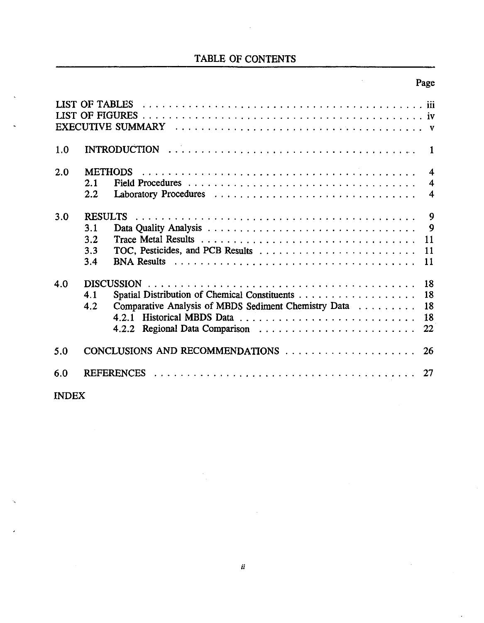## TABLE OF CONTENTS

## Page

| 1.0        | $\mathbf{1}$                                                                                                                                                                                                        |                                                                 |
|------------|---------------------------------------------------------------------------------------------------------------------------------------------------------------------------------------------------------------------|-----------------------------------------------------------------|
| 2.0        | 2.1<br>2.2                                                                                                                                                                                                          | $\boldsymbol{4}$<br>$\overline{\mathbf{4}}$<br>$\boldsymbol{4}$ |
| 3.0        | $\overline{9}$<br><b>RESULTS</b><br>$\overline{9}$<br>3.1<br>3.2<br>11<br>3.3<br>11<br>3.4<br>11                                                                                                                    |                                                                 |
| 4.0        | 18<br>18<br>4.1<br>Comparative Analysis of MBDS Sediment Chemistry Data<br>18<br>4.2<br>4.2.1 Historical MBDS Data<br>18<br>4.2.2 Regional Data Comparison $\ldots \ldots \ldots \ldots \ldots \ldots \ldots$<br>22 |                                                                 |
| 5.0<br>6.0 | CONCLUSIONS AND RECOMMENDATIONS<br>26<br>27                                                                                                                                                                         |                                                                 |

## INDEX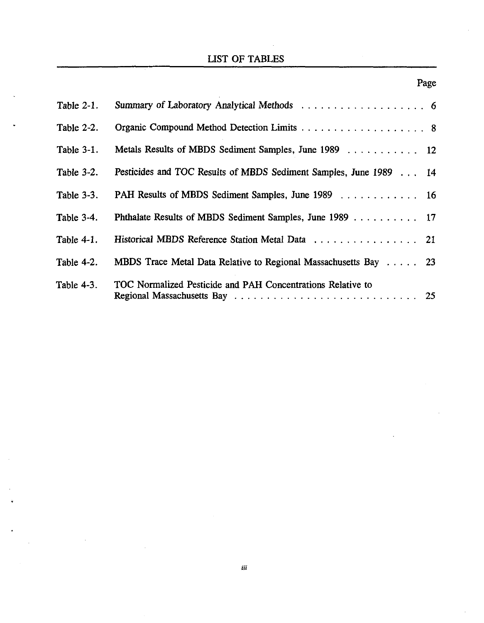## UST OF TABLES

| Table $2-1$ . |                                                                    |  |
|---------------|--------------------------------------------------------------------|--|
| Table $2-2$ . |                                                                    |  |
| Table 3-1.    | Metals Results of MBDS Sediment Samples, June 1989 12              |  |
| Table $3-2$ . | Pesticides and TOC Results of MBDS Sediment Samples, June 1989  14 |  |
| Table 3-3.    | PAH Results of MBDS Sediment Samples, June 1989 16                 |  |
| Table $3-4$ . | Phthalate Results of MBDS Sediment Samples, June 1989 17           |  |
| Table $4-1$ . | Historical MBDS Reference Station Metal Data 21                    |  |
| Table 4-2.    | MBDS Trace Metal Data Relative to Regional Massachusetts Bay 23    |  |
| Table 4-3.    | TOC Normalized Pesticide and PAH Concentrations Relative to        |  |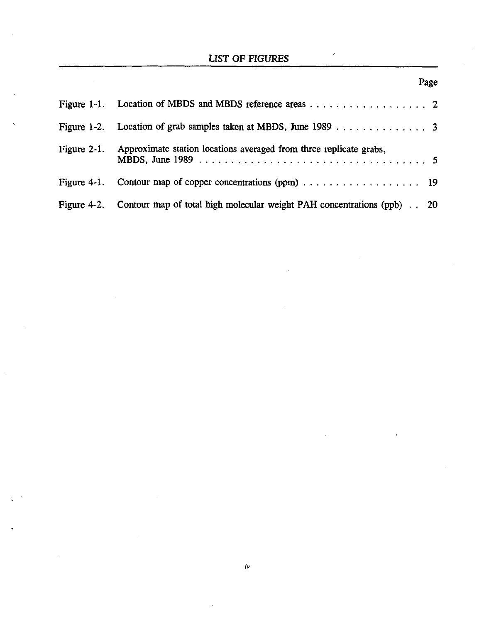## LIST OF FIGURES

|                | Figure 1-2. Location of grab samples taken at MBDS, June 1989 3                                 |
|----------------|-------------------------------------------------------------------------------------------------|
| Figure $2-1$ . | Approximate station locations averaged from three replicate grabs,                              |
|                | Figure 4-1. Contour map of copper concentrations (ppm) $\dots \dots \dots \dots \dots \dots$ 19 |
|                | Figure 4-2. Contour map of total high molecular weight PAH concentrations (ppb) 20              |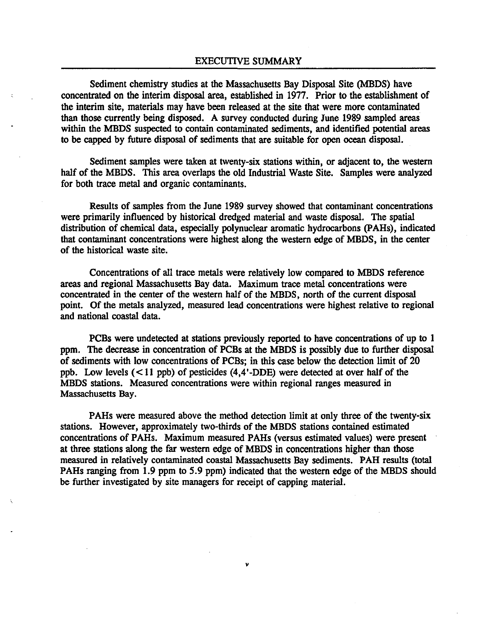Sediment chemistry studies at the Massachusetts Bay Disposal Site (MBDS) have concentrated on the interim disposal area, established in 1977. Prior to the establishment of the interim site, materials may have been released at the site that were more contaminated than those currently being disposed. A survey conducted during June 1989 sampled areas within the MBDS suspected to contain contaminated sediments, and identified potential areas to be capped by future disposal of sediments that are suitable for open ocean disposal.

Sediment samples were taken at twenty-six stations within, or adjacent to, the western half of the MBDS. This area overlaps the old Industrial Waste Site. Samples were analyzed for both trace metal and organic contaminants.

Results of samples from the June 1989 survey showed that contaminant concentrations were primarily influenced by historical dredged material and waste disposal. The spatial distribution of chemical data, especially polynuclear aromatic hydrocarbons (PAHs), indicated that contaminant concentrations were highest along the western edge of MBDS, in the center of the historical waste site.

Concentrations of all trace metals were relatively low compared to MBDS reference areas and regional Massachusetts Bay data. Maximum trace metal concentrations were concentrated in the center of the western half of the MBDS, north of the current disposal point. Of the metals analyzed, measured lead concentrations were highest relative to regional and national coastal data.

PCBs were undetected at stations previously reported to have concentrations of up to 1 ppm. The decrease in concentration of PCBs at the MBDS is possibly due to further disposal of sediments with low concentrations of PCBs; in this case below the detection limit of 20 ppb. Low levels  $(< 11$  ppb) of pesticides  $(4, 4'$ -DDE) were detected at over half of the MBDS stations. Measured concentrations were within regional ranges measured in Massachusetts Bay.

PAHs were measured above the method detection limit at only three of the twenty-six stations. However, approximately two-thirds of the MBDS stations contained estimated concentrations of PAHs. Maximum measured PAHs (versus estimated values) were present at three stations along the far western edge of MBDS in concentrations higher than those measured in relatively contaminated coastal Massachusetts Bay sediments. PAH results (total PAHs ranging from 1.9 ppm to 5.9 ppm) indicated that the western edge of the MBDS should be further investigated by site managers for receipt of capping material.

*v*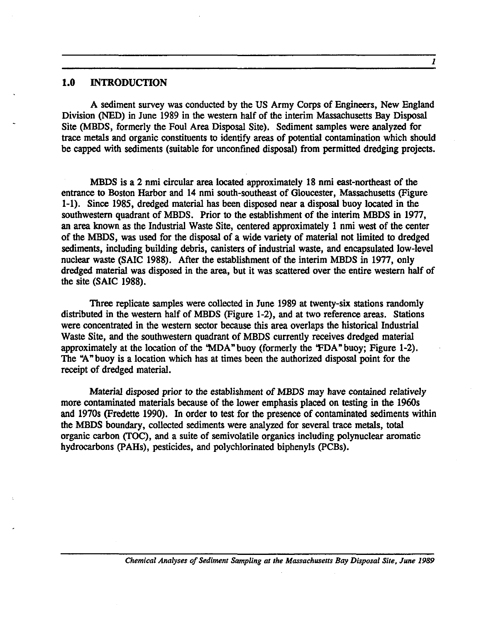#### **1.0 INTRODUCTION**

A sediment survey was conducted by the US Army Corps of Engineers, New England Division (NED) in June 1989 in the western half of the interim Massachusetts Bay Disposal Site (MBDS, formerly the Foul Area Disposal Site). Sediment samples were analyzed for trace metals and organic constituents to identify areas of potential contamination which should be capped with sediments (suitable for unconfmed disposal) from permitted dredging projects.

MBDS is a 2 nmi circular area located approximately 18 nmi east-northeast of the entrance to Boston Harbor and 14 nmi south-southeast of Gloucester, Massachusetts (Figure 1-1). Since 1985, dredged material has been disposed near a disposal buoy located in the southwestern quadrant of MBDS. Prior to the establishment of the interim MBDS in 1977, an area known as the Industrial Waste Site, centered approximately 1 nmi west of the center of the MBDS, was used for the disposal of a wide variety of material not limited to dredged sediments, including building debris, canisters of industrial waste, and encapsulated low-level nuclear waste (SAIC 1988). After the establishment of the interim MBDS in 1977, only dredged material was disposed in the area, but it was scattered over the entire western half of the site (SAIC 1988).

Three replicate samples were collected in June 1989 at twenty-six stations randomly distributed in the western half of MBDS (Figure 1-2), and at two reference areas. Stations were concentrated in the western sector because this area overlaps the historical Industrial Waste Site, and the southwestern quadrant of MBDS currently receives dredged material approximately at the location of the 'MDA" buoy (formerly the 'FDA" buoy; Figure 1-2). The "A" buoy is a location which has at times been the authorized disposal point for the receipt of dredged material.

Material disposed prior to the establishment of MBDS may have contained relatively more contaminated materials because of the lower emphasis placed on testing in the 1960s and 1970s (Fredette 1990). In order to test for the presence of contaminated sediments within the MBDS boundary, collected sediments were analyzed for several trace metals, total organic carbon (TOC), and a suite of semivolatile organics including polynuclear aromatic hydrocarbons (PAHs), pesticides, and polychlorinated biphenyls (PCBs).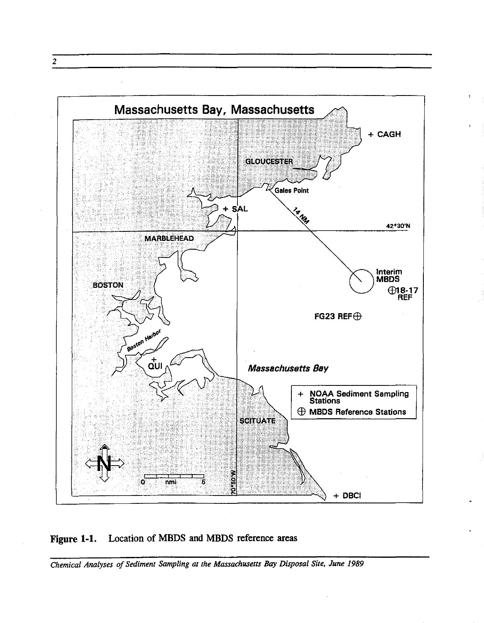

Figure 1-1. Location of MBDS and MBDS reference areas

*Chemical Analyses of Sediment Sampling at the Massachusetts Bay Disposal Site, June 1989* 

2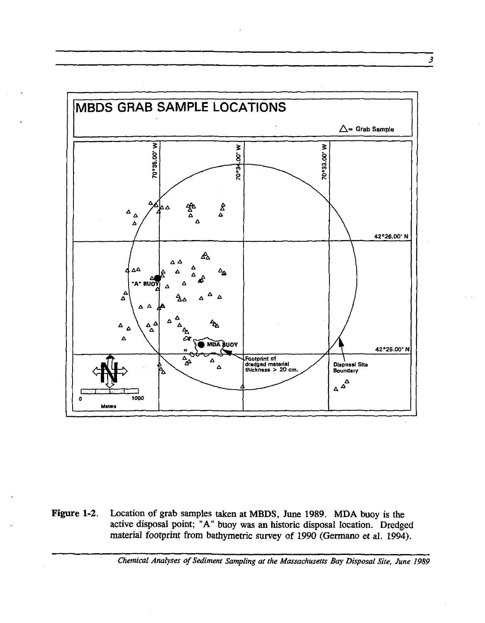

**Figure** 1-2. Location of grab samples taken at MBDS, June 1989. **MDA** buoy is the active disposal point; "A" buoy was an historic disposal location. Dredged material footprint from bathymetric survey of 1990 (Germano et al. 1994).

*Chemical Analyses of Sediment Sampling at the Massachusetts Bay Disposal Site. June 1989* 

3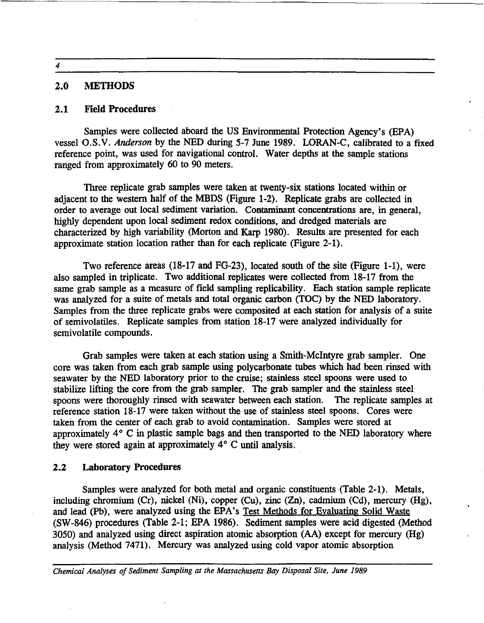4

#### 2.0 METHODS

#### 2.1 Field Procedures

Samples were collected aboard the US Environmental Protection Agency's (EPA) vessel O.S.V. *Anderson* by the NED during 5-7 June 1989. LORAN-C, calibrated to a fixed reference point, was used for navigational control. Water depths at the sample stations ranged from approximately 60 to 90 meters.

Three replicate grab samples were taken at twenty-six stations located within or adjacent to the western half of the MBDS (Figure 1-2). Replicate grabs are collected in order to average out local sediment variation. Contaminant concentrations are, in general, highly dependent upon local sediment redox conditions, and dredged materials are characterized by high variability (Morton and Karp 1980). Results are presented for each approximate station location rather than for each replicate (Figure 2-1).

Two reference areas (18-17 and FG-23), located south of the site (Figure 1-1), were also sampled in triplicate. Two additional replicates were collected from 18-17 from the same grab sample as a measure of field sampling replicability. Each station sample replicate was analyzed for a suite of metals and total organic carbon (TOC) by the NED laboratory. Samples from the three replicate grabs were composited at each station for analysis of a suite of semivolatiles. Replicate samples from station 18-17 were analyzed individually for semivolatile compounds.

Grab samples were taken at each station using a Smith-McIntyre grab sampler. One core was taken from each grab sample using polycarbonate tubes which had been rinsed with seawater by the NED laboratory prior to the cruise; stainless steel spoons were used to stabilize lifting the core from the grab sampler. The grab sampler and the stainless steel spoons were thoroughly rinsed with seawater between each station. The replicate samples at reference station 18-17 were taken without the use of stainless steel spoons. Cores were taken from the center of each grab to avoid contamination. Samples were stored at approximately  $4^{\circ}$  C in plastic sample bags and then transported to the NED laboratory where they were stored again at approximately 4° C until analysis.

#### 2.2 Laboratory Procedures

Samples were analyzed for both metal and organic constituents (Table 2-1). Metals, including chromium (Cr), nickel (Ni), copper (Cu), zinc (Zn), cadmium (Cd), mercury (Hg), and lead (Pb), were analyzed using the EPA's Test Methods for Evaluating Solid Waste (SW-846) procedures (Table 2-1; EPA 1986). Sediment samples were acid digested (Method 3050) and analyzed using direct aspiration atomic absorption (AA) except for mercury (Hg) analysis (Method 7471). Mercury was analyzed using cold vapor atomic absorption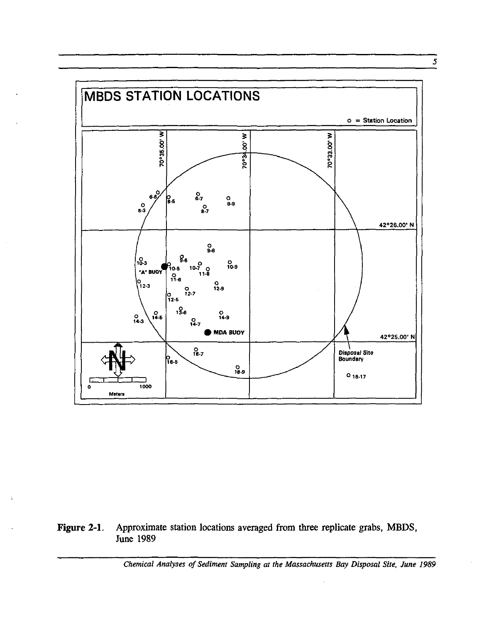

Figure 2-1. Approximate station locations averaged from three replicate grabs, MBDS, **June 1989** 

 $\sim$ 

Chemical Analyses of Sediment Sampling at the Massachusetts Bay Disposal Site, June 1989

 $\overline{5}$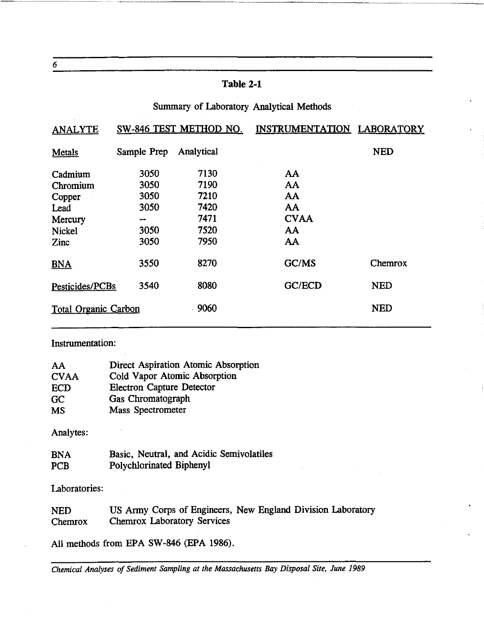#### **Table 2-1**

---------------

#### Summary of Laboratory Analytical Methods

| <b>ANALYTE</b>              | SW-846 TEST METHOD NO. |            | INSTRUMENTATION LABORATORY |            |  |  |
|-----------------------------|------------------------|------------|----------------------------|------------|--|--|
| Metals                      | Sample Prep            | Analytical |                            | <b>NED</b> |  |  |
| Cadmium                     | 3050                   | 7130       | AA                         |            |  |  |
| Chromium                    | 3050                   | 7190       | AA                         |            |  |  |
| Copper                      | 3050                   | 7210       | <b>AA</b>                  |            |  |  |
| Lead                        | 3050                   | 7420       | AA                         |            |  |  |
| Mercury                     | --                     | 7471       | <b>CVAA</b>                |            |  |  |
| <b>Nickel</b>               | 3050                   | 7520       | AA                         |            |  |  |
| Zinc                        | 3050                   | 7950       | AA                         |            |  |  |
| <b>BNA</b>                  | 3550                   | 8270       | GC/MS                      | Chemrox    |  |  |
| Pesticides/PCBs             | 3540                   | 8080       | GC/ECD                     | <b>NED</b> |  |  |
| <b>Total Organic Carbon</b> |                        | 9060       |                            | <b>NED</b> |  |  |

#### Instrumentation:

| AA          | <b>Direct Aspiration Atomic Absorption</b> |
|-------------|--------------------------------------------|
| <b>CVAA</b> | Cold Vapor Atomic Absorption               |
| <b>ECD</b>  | <b>Electron Capture Detector</b>           |
| GC          | Gas Chromatograph                          |
| <b>MS</b>   | Mass Spectrometer                          |
| Analytes:   |                                            |
| <b>BNA</b>  | Basic, Neutral, and Acidic Semivolatiles   |
| <b>PCB</b>  | Polychlorinated Biphenyl                   |

Laboratories:

NED Chemrox US Army Corps of Engineers, New England Division Laboratory Chemrox Laboratory Services

All methods from EPA SW-846 (EPA 1986).

*Chemical Analyses of Sediment Sampling at the Massachusetts Bay Disposal Site, June 1989* 

6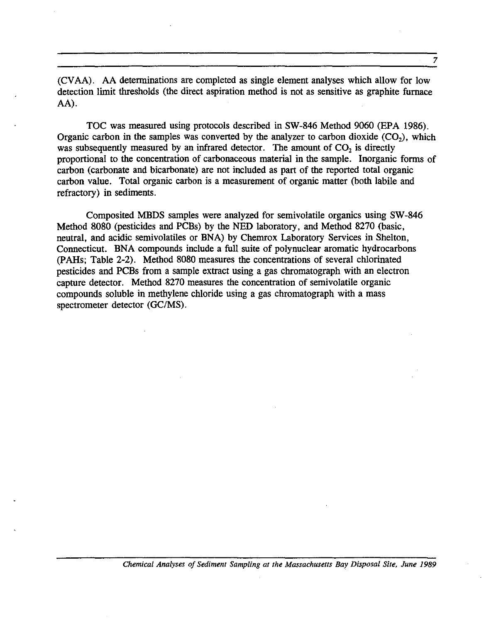(CV AA). AA detenuinations are completed as single element analyses which allow for low detection limit thresholds (the direct aspiration method is not as sensitive as graphite furnace AA).

TOC was measured using protocols described in SW-846 Method 9060 (EPA 1986). Organic carbon in the samples was converted by the analyzer to carbon dioxide  $(CO<sub>2</sub>)$ , which was subsequently measured by an infrared detector. The amount of  $CO<sub>2</sub>$  is directly proportional to the concentration of carbonaceous material in the sample. Inorganic forms of carbon (carbonate and bicarbonate) are not included as part of the reported total organic carbon value. Total organic carbon is a measurement of organic matter (both labile and refractory) in sediments.

Composited MBDS samples were analyzed for semivolatile organics using SW -846 Method 8080 (pesticides and PCBs) by the NED laboratory, and Method 8270 (basic, neutral, and acidic semivolatiles or BNA) by Chemrox Laboratory Services in Shelton, Connecticut. BNA compounds include a full suite of polynuclear aromatic hydrocarbons (PAHs; Table 2-2). Method 8080 measures the concentrations of several chlorinated pesticides and PCBs from a sample extract using a gas chromatograph with an electron capture detector. Method 8270 measures the concentration of semivolatile organic compounds soluble in methylene chloride using a gas chromatograph with a mass spectrometer detector (GC/MS).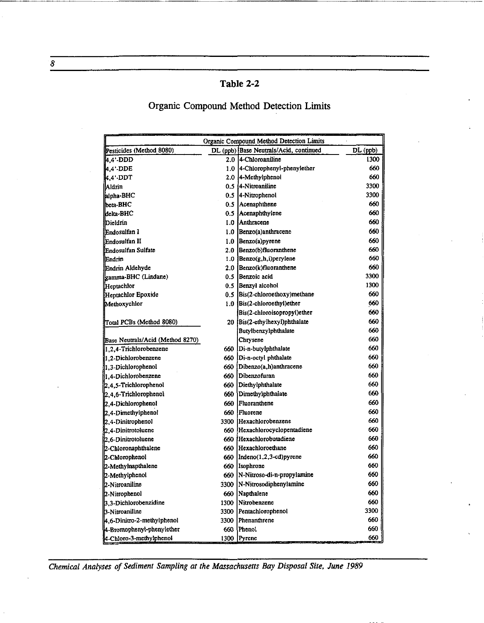## **Table 2-2**

## Organic Compound Method Detection Limits

|                                  |      | Organic Compound Method Detection Limits |          |
|----------------------------------|------|------------------------------------------|----------|
| Pesticides (Method 8080)         |      | DL (ppb) Base Neutrals/Acid, continued   | DL (ppb) |
| 4.4'-DDD                         |      | 2.0 4-Chloroaniline                      | 1300     |
| $4.4$ . DDE                      |      | 1.0 4-Chlorophenyl-phenylether           | 660      |
| 4.4' DDT                         |      | 2.0 4-Methylphenol                       | 660      |
| Aldrin                           |      | 0.5 [4-Nitroaniline                      | 3300     |
| alpha-BHC                        |      | 0.5 4-Nitrophenoi                        | 3300     |
| beta-BHC                         |      | 0.5 Acenaphthene                         | 660      |
| kielta-BHC                       |      | 0.5 Acenaphthylene                       | 660      |
| <b>Dieldrin</b>                  |      | 1.0 Anthracene                           | 660      |
| Endosulfan I                     |      | $1.0$ Benzo(a)anthracene                 | 660      |
| Endosulfan II                    |      | $1.0$ Benzo(a) pyrene                    | 660      |
| Endosulfan Sulfate               |      | 2.0 Benzo(b)fluoranthene                 | 660      |
| lEndrin.                         |      | 1.0 $\text{Benzo}(g, h, i)$ perylene     | 660      |
| Endrin Aldehyde                  |      | 2.0 Benzo(k)fluoranthene                 | 660      |
| gamma-BHC (Lindane)              |      | 0.5 Benzoic acid                         | 3300     |
| Heptachlor                       |      | 0.5 Benzyl alcohol                       | 1300     |
| Heptachlor Epoxide               |      | 0.5 Bis(2-chloroethoxy)methane           | 660      |
| Methoxychlor                     |      | 1.0 Bis(2-chloroethyl) ether             | 660      |
|                                  |      | Bis(2-chloroisopropyl)ether              | 660      |
| Total PCBs (Method 8080)         |      | 20 Bis(2-ethylhexyl)phthalate            | 660      |
|                                  |      | Butylbenzylphthalate                     | 660      |
| Base Neutrals/Acid (Method 8270) |      | Chrysene                                 | 660      |
| 1.2.4-Trichlorobenzene           |      | 660   Di-n-butylphthalate                | 660      |
| 1.2-Dichlorobenzene              |      | 660 Di-n-octyl phthalate                 | 660      |
| 1.3-Dichlorophenol               |      | 660 Dibenzo(a,h)anthracene               | 660      |
| 1,4-Dichlorobenzene              |      | 660 Dibenzofuran                         | 660      |
| 2.4.5-Trichlorophenol            |      | 660 Diethylphthalate                     | 660      |
| $[2, 4, 6$ -Trichlorophenol      |      | 660 Dimethylphthalate                    | 660      |
| 2.4-Dichlorophenol               |      | 660 Fluoranthene                         | 660      |
| 2.4-Dimethylphenol               | 660  | Fluorene                                 | 660      |
| $2,4$ -Dinitrophenol             |      | 3300 Hexachlorobenzene                   | 660      |
| 2.4-Dinitrotoluene               |      | 660 Hexachlorocyclopentadiene            | 660      |
| 2,6-Dinitrotoluene               |      | 660 Hexachlorobutadiene                  | 660      |
| 2-Chioronaphthalene              |      | 660 Hexachloroethane                     | 660      |
| 2-Chlorophenol                   |      | $660$  Indeno $(1,2,3$ -cd) pyrene       | 660      |
| 2-Methylnapthalene               | 660  | Isophrone                                | 660      |
| 2-Methylphenol                   |      | 660   N-Nitroso-di-n-propylamine         | 660      |
| 2-Nitroaniline                   | 3300 | N-Nitrosodiphenylamine                   | 660      |
| 2-Nitrophenol                    | 660  | Naothalene                               | 660      |
| 3.3-Dichlorobenzidine            |      | 1300 Nitrobenzene                        | 660      |
| 3-Nitroaniline                   | 3300 | Pentachlorophenol                        | 3300     |
| 4.6-Dinitro-2-methylphenol       |      | 3300 Phenanthrene                        | 660      |
| 4-Bromophenyl-phenylether        |      | 660 Phenol                               | 660      |
| 4-Chloro-3-methylphenol          |      | 1300 Pyrene                              | 660      |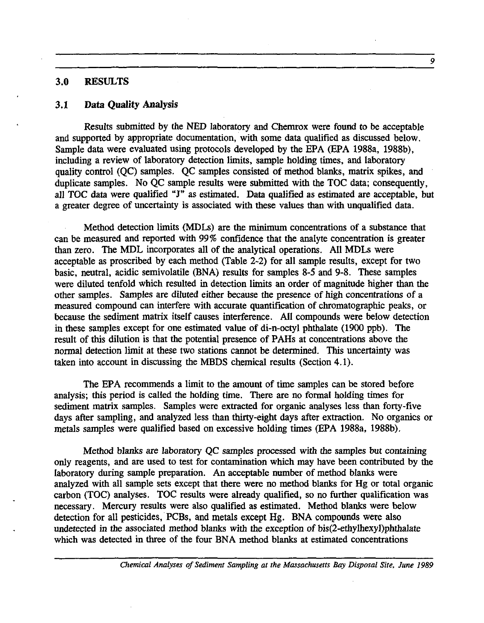#### 3.0 RESULTS

#### 3.1 Data Quality Analysis

Results submitted by the NED laboratory and Chemrox were found to be acceptable and supported by appropriate documentation, with some data qualified as discussed below. Sample data were evaluated using protocols developed by the EPA (EPA 1988a, 1988b), including a review of laboratory detection limits, sample holding times, and laboratory quality control (QC) samples. QC samples consisted of method blanks, matrix spikes, and duplicate samples. No QC sample results were submitted with the TOC data; consequently, all TOC data were qualified "J" as estimated. Data qualified as estimated are acceptable, but a greater degree of uncertainty is associated with these values than with unqualified data.

Method detection limits (MDLs) are the minimum concentrations of a substance that can be measured and reported with 99% confidence that the analyte concentration is greater than zero. The MDL incorporates all of the analytical operations. All MDLs were acceptable as proscribed by each method (Table 2-2) for all sample results, except for two basic, neutral, acidic semivolatile (BNA) results for samples 8-5 and 9-8. These samples were diluted tenfold which resulted in detection limits an order of magnitude higher than the other samples. Samples are diluted either because the presence of high concentrations of a measured compound can interfere with accurate quantification of chromatographic peaks, or because the sediment matrix itself causes interference. AIl compounds were below detection in these samples except for one estimated value of di-n-octyl phthalate (1900 ppb). The result of this dilution is that the potential presence of PAHs at concentrations above the normal detection limit at these two stations cannot be determined. This uncertainty was taken into account in discussing the MBDS chemical results (Section 4.1).

The EPA recommends a limit to the amount of time samples can be stored before analysis; this period is called the holding time. There are no formal holding times for sediment matrix samples. Samples were extracted for organic analyses less than forty-five days after sampling, and analyzed less than thirty-eight days after extraction. No organics or metals samples were qualified based on excessive holding times (EPA 1988a, 1988b).

Method blanks are laboratory QC samples processed with the samples but containing only reagents, and are used to test for contamination which may have been contributed by the laboratory during sample preparation. An acceptable number of method blanks were analyzed with all sample sets except that there were no method blanks for Hg or total organic carbon (TOC) analyses. TOC results were already qualified, so no further qualification was necessary. Mercury results were also qualified as estimated. Method blanks were below detection for all pesticides, PCBs, and metals except Hg. BNA compounds were also undetected in the associated method blanks with the exception of bis(2-ethylhexyl)phthalate which was detected in three of the four BNA method blanks at estimated concentrations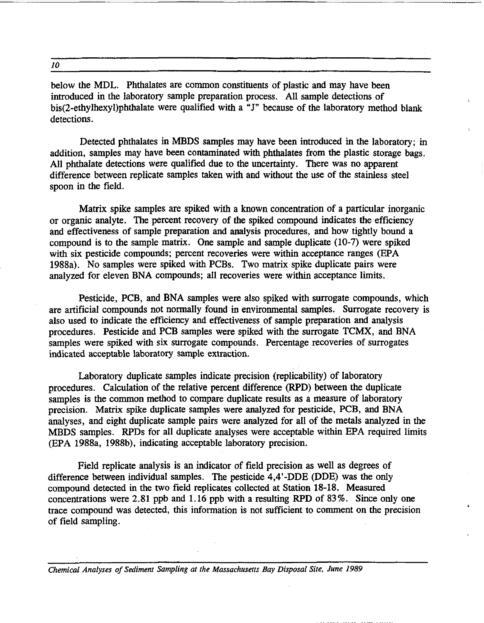*10* 

below the MDL. Phthalates are common constituents of plastic and may have been introduced in the laboratory sample preparation process. All sample detections of bis(2-ethylhexyl)phthalate were qualified with a "]" because of the laboratory method blank detections.

Detected phthalates in MBDS samples may have been introduced in the laboratory; in addition. samples may have been contaminated with phthalates from the plastic storage bags. All phthalate detections were qualified due to the uncertainty. There was no apparent difference between replicate samples taken with and without the use of the stainless steel spoon in the field.

Matrix spike samples are spiked with a known concentration of a particular inorganic or organic analyte. The percent recovery of the spiked compound indicates the efficiency and effectiveness of sample preparation and analysis procedures, and how tightly bound a compound is to the sample matrix. One sample and sample duplicate (10-7) were spiked with six pesticide compounds; percent recoveries were within acceptance ranges (EPA 1988a). No samples were spiked with PCBs. Two matrix spike duplicate pairs were analyzed for eleven BNA compounds; all recoveries were within acceptance limits.

Pesticide, PCB, and BNA samples were also spiked with surrogate compounds, which are artificial compounds not normally found in environmental samples. Surrogate recovery is also used to indicate the efficiency and effectiveness of sample preparation and analysis procedures. Pesticide and PCB samples were spiked with the surrogate TCMX, and BNA samples were spiked with six surrogate compounds. Percentage recoveries of surrogates indicated acceptable laboratory sample extraction.

Laboratory duplicate samples indicate precision (replicability) of laboratory procedures. Calculation of the relative percent difference (RPD) between the duplicate samples is the common method to compare duplicate results as a measure of laboratory precision. Matrix spike duplicate samples were analyzed for pesticide, PCB, and BNA analyses, and eight duplicate sample pairs were analyzed for all of the metals analyzed in the MBDS samples. RPDs for all duplicate analyses were acceptable within EPA required limits (EPA 1988a, 1988b), indicating acceptable laboratory precision.

Field replicate analysis is an indicator of field precision as well as degrees of difference between individual samples. The pesticide 4,4'-DDE (DDE) was the only compound detected in the two field replicates collected at Station 18-18. Measured concentrations were 2.81 ppb and 1.16 ppb with a resulting RPD of 83%. Since only one trace compound was detected, this information is not sufficient to comment on the precision of field sampling.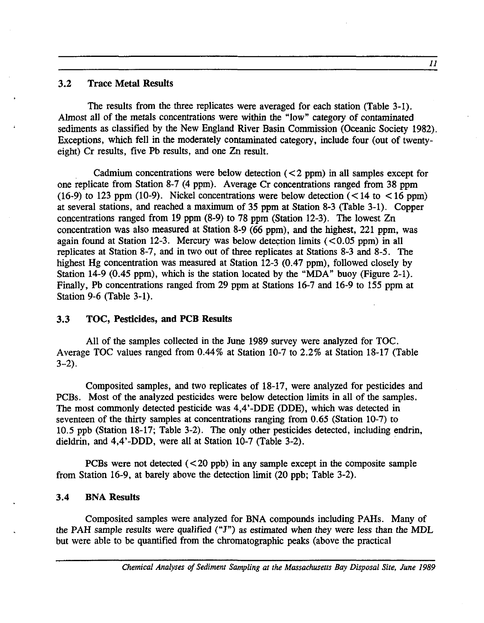#### 3.2 Trace Metal Results

The results from the three replicates were averaged for each station (Table 3-1). Almost all of the metals concentrations were within the "low" category of contaminated sediments as classified by the New England River Basin Commission (Oceanic Society 1982). Exceptions, which fell in the moderately contaminated category, include four (out of twentyeight) Cr results, five Pb results, and one Zn result.

Cadmium concentrations were below detection  $(< 2$  ppm) in all samples except for one replicate from Station 8-7 (4 ppm). Average Cr concentrations ranged from 38 ppm (16-9) to 123 ppm (10-9). Nickel concentrations were below detection  $\overline{(<}14$  to  $\overline{<}16$  ppm) at several stations, and reached a maximum of 35 ppm at Station 8-3 (Table 3-1). Copper concentrations ranged from 19 ppm (8-9) to 78 ppm (Station 12-3). The lowest Zn concentration was also measured at Station 8-9 (66 ppm), and the highest, 221 ppm, was again found at Station 12-3. Mercury was below detection limits  $\left($  < 0.05 ppm) in all replicates at Station 8-7, and in two out of three replicates at Stations 8-3 and 8-5. The highest Hg concentration was measured at Station 12-3 (0.47 ppm), followed closely by Station 14-9 (0.45 ppm), which is the station located by the "MDA" buoy (Figure 2-1). Finally, Pb concentrations ranged from 29 ppm at Stations 16-7 and 16-9 to 155 ppm at Station 9-6 (Table 3-1).

#### 3.3 TOC, Pesticides, and PCB Results

All of the samples collected in the June 1989 survey were analyzed for TOC. Average TOC values ranged from 0.44% at Station 10-7 to 2.2% at Station 18-17 (Table 3-2).

Composited samples, and two replicates of 18-17, were analyzed for pesticides and PCBs. Most of the analyzed pesticides were below detection limits in all of the samples. The most commonly detected pesticide was 4,4'-DDE (DDE), which was detected in seventeen of the thirty samples at concentrations ranging from 0.65 (Station 10-7) to 10.5 ppb (Station 18-17; Table 3-2). The only other pesticides detected, including endrin, dieldrin, and 4.4'-DDD, were all at Station 10-7 (Table 3-2).

PCBs were not detected  $( $20 \text{ pb}$ ) in any sample except in the composite sample$ from Station 16-9, at barely above the detection limit (20 ppb; Table 3-2).

#### 3.4 BNA Results

Composited samples were analyzed for BNA compounds including PAHs. Many of the PAH sample results were qualified ("J") as estimated when they were less than the MDL but were able to be quantified from the chromatographic peaks (above the practical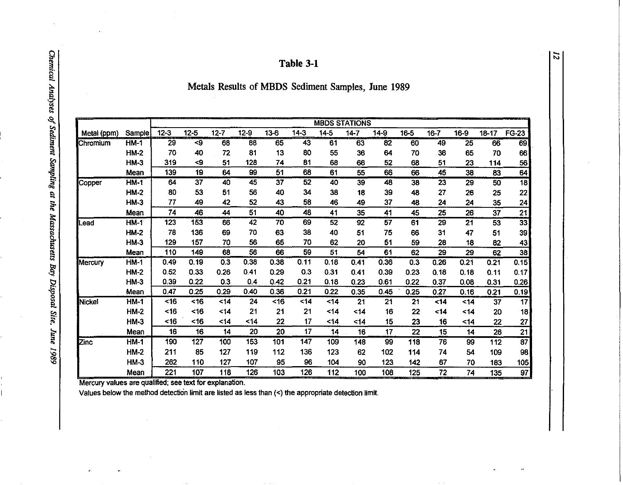| Table 3-1 |  |
|-----------|--|
|-----------|--|

Metals Results of MBDS Sediment Samples, June 1989

|             |             |                 |                  |          |        |          |        |          | <b>MBDS STATIONS</b> |                 |          |                   |                 |                 |                 |
|-------------|-------------|-----------------|------------------|----------|--------|----------|--------|----------|----------------------|-----------------|----------|-------------------|-----------------|-----------------|-----------------|
| Metal (ppm) | Sample      | $12 - 3$        | $12 - 5$         | $12 - 7$ | $12-9$ | $13 - 6$ | $14-3$ | $14 - 5$ | $14 - 7$             | $14-9$          | $16 - 5$ | $16 - 7$          | 16-9            | $18 - 17$       | <b>FG-23</b>    |
| Chromium    | $HM-1$      | $\overline{29}$ | < 9              | 68       | 88     | 65       | 43     | 61       | $\overline{63}$      | $\overline{82}$ | 60       | 49                | $\overline{25}$ | 66              | 69              |
|             | $HM-2$      | 70              | 40               | 72       | 81     | 13       | 80     | 55       | 36                   | 64              | 70       | 36                | 65              | 70              | 66              |
|             | $HM-3$      | 319             | <9               | 51       | 128    | 74       | 81     | 68       | 66                   | 52              | 68       | 51                | 23              | 114             | 56              |
|             | Mean        | 139             | 19               | 64       | 99     | 51       | 68     | 61       | 55                   | 66              | 66       | 45                | 38              | 83              | 64              |
| Copper      | <b>HM-1</b> | 64              | 37               | 40       | 45     | 37       | 52     | 40       | 39                   | 48              | 38       | 23                | 29              | 50              | $\overline{18}$ |
|             | <b>HM-2</b> | 80              | 53               | 51       | 56     | 40       | 34     | 38       | 18                   | 39              | 48       | 27                | 26              | 25              | 22              |
|             | <b>HM-3</b> | 77              | 49               | 42       | 52     | 43       | 58     | 46       | 49                   | 37              | 48       | 24                | 24              | 35              | 24              |
|             | Mean        | 74              | 46               | 44       | 51     | 40       | 48     | 41       | 35                   | 41              | 45       | 25                | 26              | 37              | $\frac{21}{33}$ |
| ¶Lead       | $HM-1$      | 123             | 153              | 66       | 42     | 70       | 69     | 52       | 92                   | 57              | 61       | 29                | 21              | $\overline{53}$ |                 |
|             | <b>HM-2</b> | 78              | 136              | 69       | 70     | 63       | 38     | 40       | 51                   | 75              | 66       | 31                | 47              | 51              | 39              |
|             | <b>HM-3</b> | 129             | 157              | 70       | 56     | 65       | 70     | 62       | 20                   | 51              | 59       | 28                | 18              | 82              | 43              |
|             | Mean        | 110             | 149              | 68       | 56     | 66       | 59     | 51       | 54                   | 61              | 62       | 29                | 29              | 62              | 38              |
| Mercury     | $HM-1$      | 0.49            | 0.19             | 0.3      | 0.38   | 0.38     | 0.11   | 0.18     | 0.41                 | 0.36            | 0.3      | $\overline{0.26}$ | 0.21            | 0.21            | 0.15            |
|             | <b>HM-2</b> | 0.52            | 0.33             | 0.26     | 0.41   | 0.29     | 0.3    | 0.31     | 0.41                 | 0.39            | 0.23     | 0.18              | 0.18            | 0.11            | 0.17            |
|             | $HM-3$      | 0.39            | 0.22             | 0.3      | 0.4    | 0.42     | 0.21   | 0.18     | 0.23                 | 0.61            | 0.22     | 0.37              | 0.08            | 0.31            | 0.26            |
|             | Mean        | 0.47            | 0.25             | 0.29     | 0.40   | 0.36     | 0.21   | 0.22     | 0.35                 | 0.45            | 0.25     | 0.27              | 0.16            | 0.21            | 0.19            |
| Nickel      | <b>HM-1</b> | $<$ 16          | ~16              | 14       | 24     | $<$ 16   | $14$   | 14       | 21                   | 21              | 21       | $14$              | <14             | 37              | $\overline{17}$ |
|             | $HM-2$      | <16             | <16              | $<$ 14   | 21     | 21       | 21     | $14$     | $14$                 | 16              | 22       | $14$              | $14$            | 20              | 18              |
|             | <b>HM-3</b> | <16             | <16              | <14      | <14    | 22       | 17     | 14       | <14                  | 15              | 23       | 16                | ~14             | 22              | 27              |
|             | Mean        | 16              | 16               | 14       | 20     | 20       | 17     | 14       | 16                   | 17              | 22       | 15                | 14              | 26              | $\overline{21}$ |
| Zinc        | <b>HM-1</b> | 190             | $\overline{127}$ | 100      | 153    | 101      | 147    | 109      | 148                  | 99              | 118      | 76                | 99              | 112             | $\overline{87}$ |
|             | <b>HM-2</b> | 211             | 85               | 127      | 119    | 112      | 136    | 123      | 62                   | 102             | 114      | 74                | 54              | 109             | 98              |
|             | $HM-3$      | 262             | 110              | 127      | 107    | 95       | 96     | 104      | 90                   | 123             | 142      | 67                | 70              | 183             | 105             |
|             | Mean        | 221             | 107              | 118      | 126    | 103      | 126    | 112      | 100                  | 108             | 125      | 72                | 74              | 135             | 97              |

Mercury values are qualified, see text for explanation.

Values below the method detection limit are listed as less than (<) the appropriate detection limit.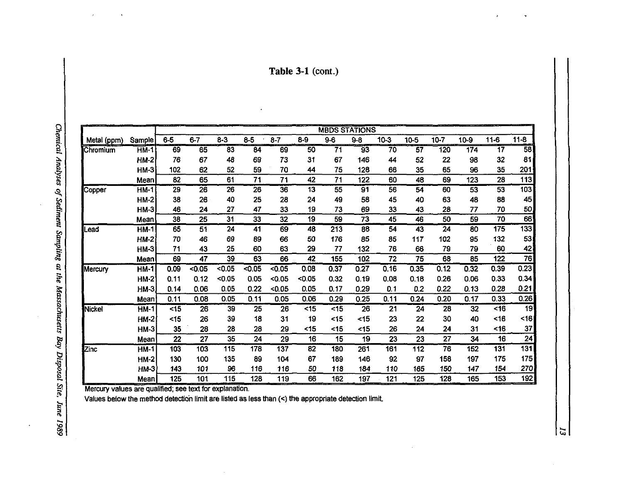**Table 3-1** (cont.)

 $\ddot{\phantom{a}}$ 

| ì                            |  |
|------------------------------|--|
|                              |  |
|                              |  |
|                              |  |
|                              |  |
|                              |  |
|                              |  |
|                              |  |
|                              |  |
|                              |  |
|                              |  |
|                              |  |
|                              |  |
|                              |  |
|                              |  |
|                              |  |
|                              |  |
|                              |  |
| $U(0)$ is a subset of $U(0)$ |  |
|                              |  |
|                              |  |
|                              |  |
|                              |  |
| ۱                            |  |
|                              |  |
|                              |  |
|                              |  |
|                              |  |
|                              |  |
|                              |  |
|                              |  |
| <b>Deutrient</b>             |  |
| ١                            |  |
|                              |  |
|                              |  |
|                              |  |
|                              |  |
|                              |  |
|                              |  |
|                              |  |
|                              |  |
|                              |  |
|                              |  |
|                              |  |
|                              |  |
|                              |  |
|                              |  |
|                              |  |
|                              |  |
|                              |  |
|                              |  |
|                              |  |
|                              |  |
|                              |  |
|                              |  |
|                              |  |
|                              |  |
|                              |  |
|                              |  |
|                              |  |
|                              |  |
|                              |  |
|                              |  |
| ming at the Massachusen.     |  |
|                              |  |
| ı                            |  |
|                              |  |
|                              |  |
|                              |  |
|                              |  |
|                              |  |
|                              |  |
|                              |  |
|                              |  |
|                              |  |
|                              |  |
|                              |  |
|                              |  |
|                              |  |
|                              |  |
|                              |  |
|                              |  |
| Disposal Site,               |  |
|                              |  |
|                              |  |
|                              |  |
|                              |  |
|                              |  |
|                              |  |
| June 1989                    |  |
|                              |  |
|                              |  |
|                              |  |
|                              |  |

|             |             | <b>MBDS STATIONS</b> |         |         |        |                  |                 |                 |                 |          |                 |          |        |                 |                  |
|-------------|-------------|----------------------|---------|---------|--------|------------------|-----------------|-----------------|-----------------|----------|-----------------|----------|--------|-----------------|------------------|
| Metal (ppm) | Sample      | $6-5$                | $6 - 7$ | $8 - 3$ | $8-5$  | $8 - 7$          | $8 - 9$         | $9-6$           | $9 - 8$         | $10 - 3$ | 10-5            | $10 - 7$ | $10-9$ | $11 - 6$        | $11 - 8$         |
| Chromium    | $HM-1$      | 69                   | 65      | 83      | 84     | 69               | $\overline{50}$ | $\overline{71}$ | $\overline{93}$ | 70       | $\overline{57}$ | 120      | 174    | $\overline{17}$ | $\overline{58}$  |
|             | <b>HM-2</b> | 76                   | 67      | 48      | 69     | 73               | 31              | 67              | 146             | 44       | 52              | 22       | 98     | 32              | 81               |
|             | <b>HM-3</b> | 102                  | 62      | 52      | 59     | 70               | 44              | 75              | 128             | 66       | 35              | 65       | 96     | 35              | 201              |
|             | Mean        | 82                   | 65      | 61      | 71     | 71               | 42              | 71              | 122             | 60       | 48              | 69       | 123    | 28              | 113              |
| Copper      | $HM-1$      | 29                   | 26      | 26      | 26     | $\overline{36}$  | 13              | 55              | 91              | 56       | 54              | 60       | 53     | 53              | 103              |
|             | $HM-2$      | 38                   | 26      | 40      | 25     | 28               | 24              | 49              | 58              | 45       | 40              | 63       | 48     | 88              | 45               |
|             | $HM-3$      | 46                   | 24      | 27      | 47     | 33               | 19              | 73              | 69              | 33       | 43              | 28       | 77     | 70              | 50               |
|             | Mean        | 38                   | 25      | 31      | 33     | 32               | 19              | 59              | 73              | 45       | 46              | 50       | 59     | 70              | 66               |
| Lead        | $HM-1$      | $\overline{65}$      | 51      | 24      | 41     | 69               | 48              | 213             | 88              | 54       | $\overline{43}$ | 24       | 80     | 175             | 133              |
|             | $HM-2$      | 70                   | 46      | 69      | 89     | 66               | 50              | 176             | 85              | 85       | 117             | 102      | 95     | 132             | 53               |
|             | <b>HM-3</b> | 71                   | 43      | 25      | 60     | 63               | 29              | 77              | 132             | 76       | 66              | 79       | 79     | 60              | 42               |
|             | Mean        | 69                   | 47      | 39      | 63     | 66               | 42              | 155             | 102             | 72       | 75              | 68       | 85     | 122             | $\overline{76}$  |
| Mercury     | $HM-1$      | 0.09                 | $-0.05$ | < 0.05  | < 0.05 | < 0.05           | 0.08            | 0.37            | 0.27            | 0.16     | 0.35            | 0.12     | 0.32   | 0.39            | 0.23             |
|             | <b>HM-2</b> | 0.11                 | 0.12    | < 0.05  | 0.05   | < 0.05           | < 0.05          | 0.32            | 0.19            | 0.08     | 0.18            | 0.26     | 0.06   | 0.33            | 0.34             |
|             | HM-3        | 0.14                 | 0.06    | 0.05    | 0.22   | < 0.05           | 0.05            | 0.17            | 0.29            | 0.1      | 0.2             | 0.22     | 0.13   | 0.28            | 0.21             |
|             | Mean        | 0.11                 | 0.08    | 0.05    | 0.11   | 0.05             | 0.06            | 0.29            | 0.25            | 0.11     | 0.24            | 0.20     | 0.17   | 0.33            | 0.26             |
| Nickel      | <b>HM-1</b> | $15$                 | 26      | 39      | 25     | 26               | $15$            | < 15            | 26              | 21       | 24              | 28       | 32     | <16             | 19               |
|             | HM-2        | $<$ 15               | 26      | 39      | 18     | 31               | 19              | $15$            | $<$ 15          | 23       | 22              | 30       | 40     | <16             | 16               |
|             | <b>HM-3</b> | 35                   | 28      | 28      | 28     | 29               | <15             | <15             | $15$            | 26       | 24              | 24       | 31     | $<$ 16          | 37               |
|             | Mean        | 22                   | 27      | 35      | 24     | 29               | 16              | 15              | 19              | 23       | 23              | 27       | 34     | 16              | 24               |
| Zinc        | $HM-1$      | $\overline{103}$     | 103     | 115     | 178    | $\overline{137}$ | 82              | 180             | 261             | 161      | 112             | 76       | 152    | 131             | $\overline{131}$ |
|             | <b>HM-2</b> | 130                  | 100     | 135     | 89     | 104              | 67              | 189             | 146             | 92       | 97              | 158      | 197    | 175             | 175              |
|             | HM-3        | 143                  | 101     | 96      | 116    | 116              | 50              | 118             | 184             | 110      | 165             | 150      | 147    | 154             | 270              |
|             | Mean        | 125                  | 101     | 115     | 128    | 119              | 66              | 162             | 197             | 121      | 125             | 128      | 165    | 153             | <u>192</u>       |

 $\tilde{\omega}$ 

Mercury values are qualified. see text for explanation.

Values below the method detection limit are listed as less than (<) the appropriate detection limit.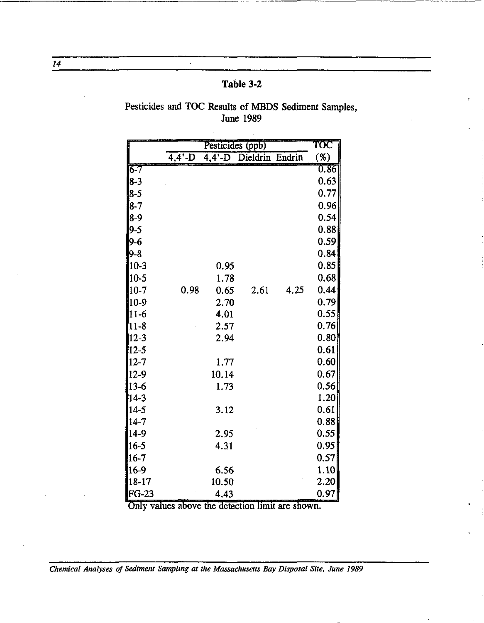| Table 3-2 |  |
|-----------|--|
|-----------|--|

 $\mathcal{A}^{\pm}$ 

## Pesticides and TOC Results of MBDS Sediment Samples, **June 1989**

|            |                    | TOC   |                        |      |      |
|------------|--------------------|-------|------------------------|------|------|
|            | $\overline{4,4-D}$ |       | 4,4'-D Dieldrin Endrin |      | ( %) |
| $6 - 7$    |                    |       |                        |      | 0.86 |
| $8 - 3$    |                    |       |                        |      | 0.63 |
| $8 - 5$    |                    |       |                        |      | 0.77 |
| 8-7        |                    |       |                        |      | 0.96 |
| $8-9$      |                    |       |                        |      | 0.54 |
| 9-5        |                    |       |                        |      | 0.88 |
| $9 - 6$    |                    |       |                        |      | 0.59 |
| $9 - 8$    |                    |       |                        |      | 0.84 |
| $10-3$     |                    | 0.95  |                        |      | 0.85 |
| $10 - 5$   |                    | 1.78  |                        |      | 0.68 |
| 10-7]      | 0.98               | 0.65  | 2.61                   | 4.25 | 0.44 |
| $10-9$     |                    | 2.70  |                        |      | 0.79 |
| $11-6$     |                    | 4.01  |                        |      | 0.55 |
| $ 11 - 8 $ |                    | 2.57  |                        |      | 0.76 |
| $12 - 3$   |                    | 2.94  |                        |      | 0.80 |
| $12-5$     |                    |       |                        |      | 0.61 |
| $12 - 7$   |                    | 1.77  |                        |      | 0.60 |
| $12-9$     |                    | 10.14 |                        |      | 0.67 |
| $13-6$     |                    | 1.73  |                        |      | 0.56 |
| $14 - 3$   |                    |       |                        |      | 1.20 |
| $14 - 5$   |                    | 3.12  |                        |      | 0.61 |
| $14 - 7$   |                    |       |                        |      | 0.88 |
| 14-9       |                    | 2.95  |                        |      | 0.55 |
| $16-5$     |                    | 4.31  |                        |      | 0.95 |
| $16 - 7$   |                    |       |                        |      | 0.57 |
| 16-9       |                    | 6.56  |                        |      | 1.10 |
| 18-17      |                    | 10.50 |                        |      | 2.20 |
| $FG-23$    |                    | 4.43  |                        |      | 0.97 |

Only values above the detection limit are shown.

Chemical Analyses of Sediment Sampling at the Massachusetts Bay Disposal Site, June 1989

 $14$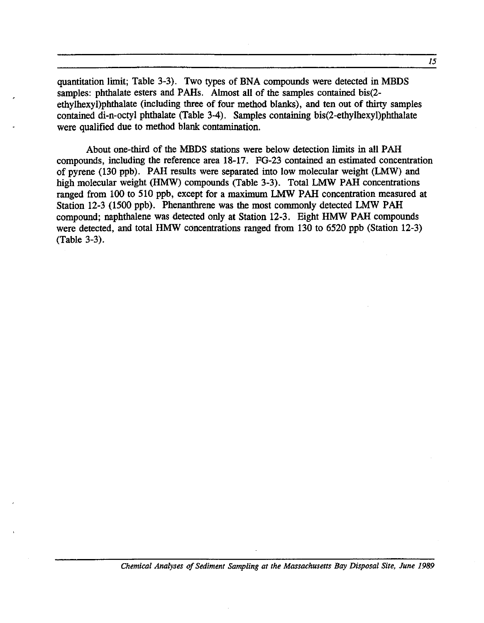quantitation limit; Table 3-3). Two types of BNA compounds were detected in MBDS samples: phthalate esters and PAHs. Almost all of the samples contained bis(2ethylhexyl)phthalate (including three of four method blanks), and ten out of thirty samples contained di-n-octyl phthalate (Table 3-4). Samples containing bis(2-ethylhexyl)phthalate were qualified due to method blank contamination.

About one-third of the MBDS stations were below detection limits in all PAH compounds, including the reference area 18-17. FG-23 contained an estimated concentration of pyrene (130 ppb). PAH results were separated into low molecular weight (LMW) and high molecular weight (HMW) compounds (Table 3-3). Total LMW PAH concentrations ranged from 100 to 510 ppb, except for a maximum LMW PAH concentration measured at Station 12-3 (1500 ppb). Phenanthrene was the most commonly detected LMW PAH compound; naphthalene was detected only at Station 12-3. Eight HMW PAH compounds were detected, and total HMW concentrations ranged from 130 to 6520 ppb (Station 12-3) (Table 3-3).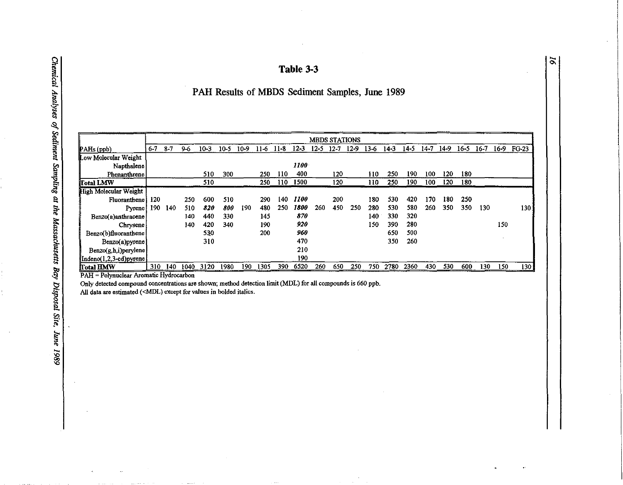#### Table 3-3

 $\tilde{\mathbf{e}}$ 

## PAH Results of MBDS Sediment Samples, June 1989

|                                                              | <b>MBDS STATIONS</b> |       |      |        |        |      |        |          |             |          |        |        |        |        |      |        |        |          |        |      |                  |
|--------------------------------------------------------------|----------------------|-------|------|--------|--------|------|--------|----------|-------------|----------|--------|--------|--------|--------|------|--------|--------|----------|--------|------|------------------|
| PAHs (ppb)                                                   | $6 - 7$              | $8-7$ | 9-6  | $10-3$ | $10-5$ | 10-9 | $11-6$ | $11 - 8$ | $12-3$      | $12 - 5$ | $12-7$ | $12-9$ | $13-6$ | $14-3$ | 14-5 | $14-7$ | $14-9$ | $16 - 5$ | $16-7$ | 16-9 | FG-23            |
| Low Molecular Weight                                         |                      |       |      |        |        |      |        |          |             |          |        |        |        |        |      |        |        |          |        |      |                  |
| Napthalene                                                   |                      |       |      |        |        |      |        |          | 1100        |          |        |        |        |        |      |        |        |          |        |      |                  |
| Phenanthrene                                                 |                      |       |      | 510    | 300    |      | 250    | 110      | 400         |          | 120    |        | 110    | 250    | 190  | 100    | 120    | 180      |        |      |                  |
| Total LMW                                                    |                      |       |      | 510    |        |      | 250    | 110      | 1500        |          | 120    |        | 110    | 250    | 190  | 100    | 120    | 180      |        |      |                  |
| High Molecular Weight                                        |                      |       |      |        |        |      |        |          |             |          |        |        |        |        |      |        |        |          |        |      |                  |
| Fluoranthene                                                 | 120                  |       | 250  | 600    | 510    |      | 290    | 140      | <b>1100</b> |          | 200    |        | 180    | 530    | 420  | 170    | 180    | 250      |        |      |                  |
| Pyrene                                                       | 190                  | 140   | 510  | 820    | 800    | 190  | 480    | 250      | 1800        | 260      | 450    | 250    | 280    | 530    | 580  | 260    | 350    | 350      | 130    |      | 130              |
| Benzo(a)anthracene                                           |                      |       | 140  | 440    | 330    |      | 145    |          | 870         |          |        |        | 140    | 330    | 320  |        |        |          |        |      |                  |
| Chrysene                                                     |                      |       | 140  | 420    | 340    |      | 190    |          | 920         |          |        |        | 150    | 390    | 280  |        |        |          |        | 150  |                  |
| Benzo(b)fluoranthene                                         |                      |       |      | 530    |        |      | 200    |          | 960         |          |        |        |        | 650    | 500  |        |        |          |        |      |                  |
| Benzo(a)pyrene                                               |                      |       |      | 310    |        |      |        |          | 470         |          |        |        |        | 350    | 260  |        |        |          |        |      |                  |
| Benzo(g,h,i)perylene                                         |                      |       |      |        |        |      |        |          | 210         |          |        |        |        |        |      |        |        |          |        |      |                  |
| $\left  \text{Indeno}(1,2,3-\text{cd})\text{pyrene} \right $ |                      |       |      |        |        |      |        |          | 190         |          |        |        |        |        |      |        |        |          |        |      |                  |
| Total HMW                                                    | 310                  | 140   | 1040 | 3120   | 1980   | 190  | 1305   | 390      | 6520        | 260      | 650    | 250    | 750    | 2780   | 2360 | 430    | 530    | 600      | 130    | 150  | 130 <sub>1</sub> |

PAH = Polynuclear Aromatic Hydrocarbon

 $\sim$ 

Only detected compound concentrations are shown; method detection limit (MDL) for all compounds is 660 ppb.<br>All data are estimated (<MDL) except for values in bolded italics.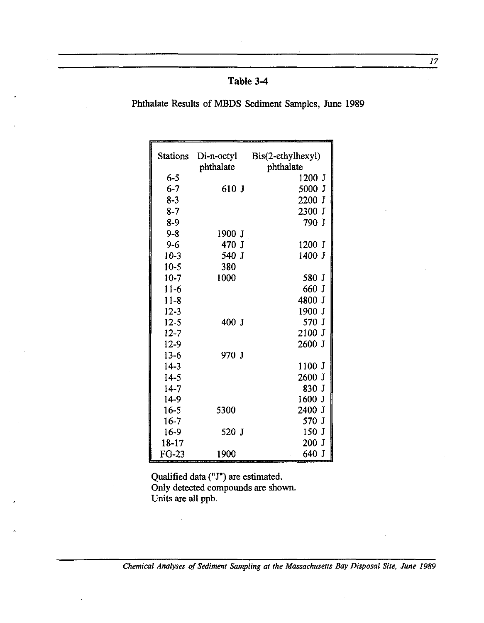## **Table 3-4**

Phthalate Results of MBDS Sediment Samples, June 1989

| Stations  |           | Di-n-octyl Bis(2-ethylhexyl) |
|-----------|-----------|------------------------------|
|           | phthalate | phthalate                    |
| $6 - 5$   |           | 1200 J                       |
| $6 - 7$   | 610 J     | 5000 J                       |
| $8 - 3$   |           | 2200 J                       |
| $8 - 7$   |           | 2300 J                       |
| $8-9$     |           | 790 J                        |
| $9 - 8$   | 1900 J    |                              |
| $9 - 6$   | 470 J     | 1200 J                       |
| $10-3$    | 540 J     | 1400 J                       |
| $10-5$    | 380       |                              |
| $10-7$    | 1000      | 580 J                        |
| $11-6$    |           | 660 J                        |
| $11 - 8$  |           | 4800 J                       |
| $12 - 3$  |           | 1900 J                       |
| $12 - 5$  | 400 J     | 570 J                        |
| $12 - 7$  |           | $2100$ J                     |
| $12-9$    |           | 2600 J                       |
| $13-6$    | 970 J     |                              |
| $14-3$    |           | 1100 J                       |
| $14-5$    |           | 2600 J                       |
| $14-7$    |           | 830 J                        |
| $14-9$    |           | 1600 J                       |
| $16 - 5$  | 5300      | 2400 J                       |
| $16-7$    |           | 570 J                        |
| $16-9$    | 520 J     | 150 J                        |
| $18 - 17$ |           | 200 J                        |
| $FG-23$   | 1900      | 640 J                        |

Qualified data (" J") are estimated. Only detected compounds are shown. Units are all ppb.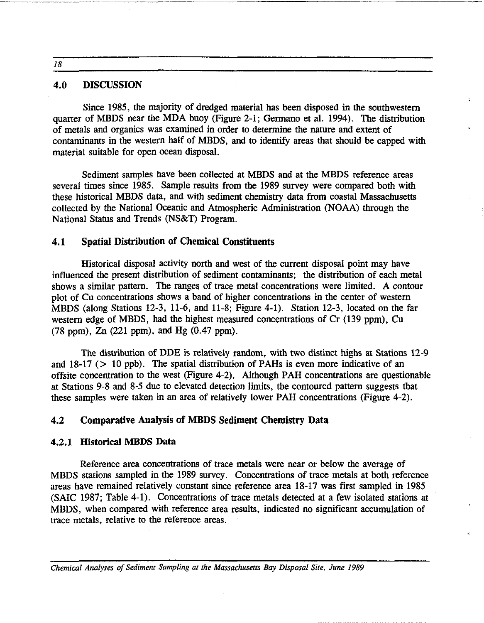18

#### 4.0 DISCUSSION

Since 1985, the majority of dredged material has been disposed in the southwestern quarter of MBDS near the MDA buoy (Figure 2-1; Gennano et al. 1994). The distribution of metals and organics was examined in order to detennine the nature and extent of contaminants in the western half of MBDS, and to identify areas that should be capped with material suitable for open ocean disposal.

Sediment samples have been collected at MBDS and at the MBDS reference areas several times since 1985. Sample results from the 1989 survey were compared both with these historical MBDS data, and with sediment chemistry data from coastal Massachusetts collected by the National Oceanic and Atmospheric Administration (NOAA) through the National Status and Trends (NS&T) Program.

#### 4.1 Spatial Distribution of Chemical Constituents

Historical disposal activity north and west of the current disposal point may have influenced the present distribution of sediment contaminants; the distribution of each metal shows a similar pattern. The ranges of trace metal concentrations were limited. A contour plot of Cu concentrations shows a band of higher concentrations in the center of western MBDS (along Stations 12-3, 11-6, and 11-8; Figure 4-1). Station 12-3, located on the far western edge of MBDS, had the highest measured concentrations of Cr (139 ppm), Cu (78 ppm), Zn (221 ppm), and Hg (0.47 ppm).

The distribution of DDE is relatively random, with two distinct highs at Stations 12-9 and  $18-17$  ( $> 10$  ppb). The spatial distribution of PAHs is even more indicative of an offsite concentration to the west (Figure 4-2). Although PAH concentrations are questionable at Stations 9-8 and 8-5 due to elevated detection limits, the contoured pattern suggests that these samples were taken in an area of relatively lower PAH concentrations (Figure 4-2).

#### 4.2 Comparative Analysis of MBDS Sediment Chemistry Data

#### 4.2.1 Historical MBDS Data

Reference area concentrations of trace metals were near or below the average of MBDS stations sampled in the 1989 survey. Concentrations of trace metals at both reference areas have remained relatively constant since reference area 18-17 was first sampled in 1985 (SAlC 1987; Table 4-1). Concentrations of trace metals detected at a few isolated stations at MBDS, when compared with reference area results, indicated no significant accumulation of trace metals, relative to the reference areas.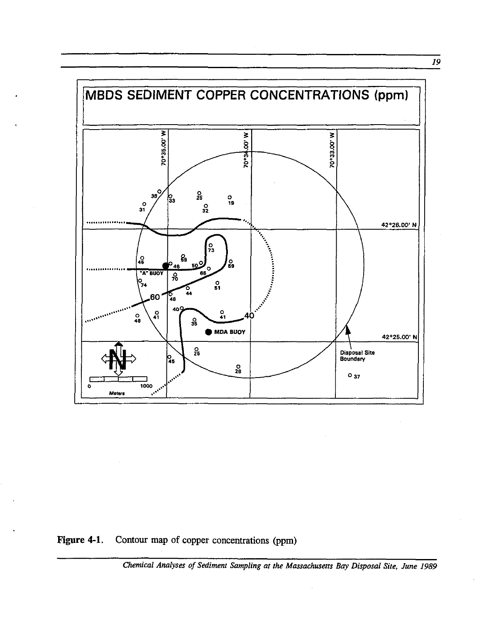

Figure 4-1. Contour map of copper concentrations (ppm)

Chemical Analyses of Sediment Sampling at the Massachusetts Bay Disposal Site, June 1989

 $\overline{19}$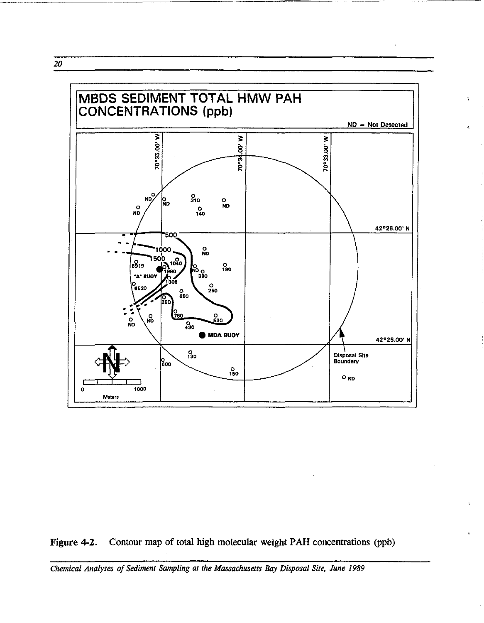*20* 



------------ ----------~ ------------~~----

ż.

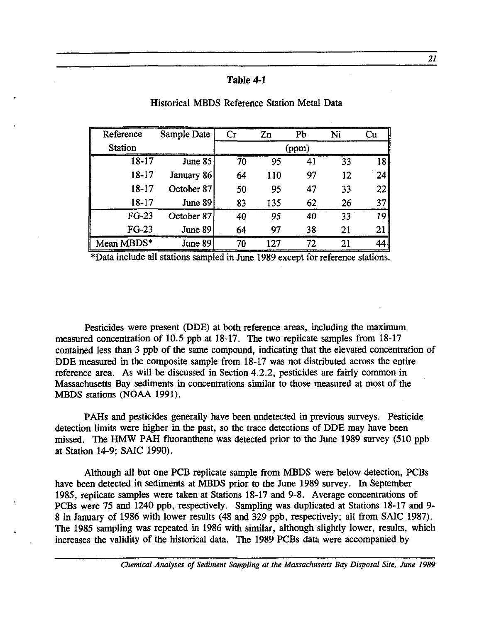#### Table **4-1**

| Reference      | Sample Date | $\operatorname{Cr}$<br>Zn |     | Pb | Ni | Cu |
|----------------|-------------|---------------------------|-----|----|----|----|
| <b>Station</b> |             |                           |     |    |    |    |
| 18-17          | June 85     | 70                        | 95  | 41 | 33 | 18 |
| 18-17          | January 86  | 64                        | 110 | 97 | 12 | 24 |
| 18-17          | October 87  | 50 <sub>1</sub>           | 95  | 47 | 33 | 22 |
| $18 - 17$      | June 89     | 83                        | 135 | 62 | 26 | 37 |
| $FG-23$        | October 87  | 40                        | 95  | 40 | 33 | 19 |
| $FG-23$        | June 89     | 64                        | 97  | 38 | 21 | 21 |
| Mean MBDS*     | June 89     | 70                        | 127 | 72 | 21 | 44 |

#### Historical MBDS Reference Station Metal Data

\*Data include all stations sampled in June 1989 except for reference stations.

Pesticides were present (DDE) at both reference areas, including the maximum measured concentration of 10.5 ppb at 18-17. The two replicate samples from 18-17 contained less than 3 ppb of the same compound, indicating that the elevated concentration of DDE measured in the composite sample from 18-17 was not distributed across the entire reference area. As will be discussed in Section 4.2.2, pesticides are fairly common in Massachusetts Bay sediments in concentrations similar to those measured at most of the MBDS stations (NOAA 1991).

PAHs and pesticides generally have been undetected in previous surveys. Pesticide detection limits were higher in the past, so the trace detections of DDE may have been missed. The HMW PAH fluoranthene was detected prior to the June 1989 survey (510 ppb at Station 14-9; SAlC 1990).

Although all but one PCB replicate sample from MBDS were below detection, PCBs have been detected in sediments at MBDS prior to the June 1989 survey. In September 1985, replicate samples were taken at Stations 18-17 and 9-8. Average concentrations of PCBs were 75 and 1240 ppb, respectively. Sampling was duplicated at Stations 18-17 and 9- 8 in January of 1986 with lower results (48 and 329 ppb, respectively; all from SAlC 1987). The 1985 sampling was repeated in 1986 with similar, although slightly lower, results, which increases the validity of the historical data. The 1989 PCBs data were accompanied by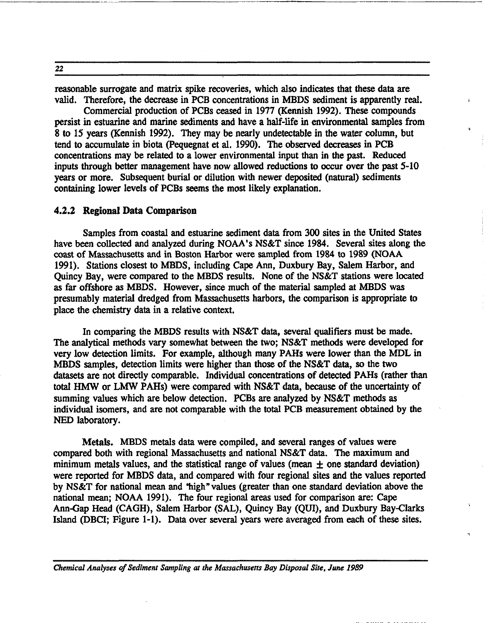reasonable surrogate and matrix spike recoveries, which also indicates that these data are valid. Therefore, the decrease in PCB concentrations in MBDS sediment is apparently real.

Commercial production of PCBs ceased in 1977 (Kennish 1992). These compounds persist in estuarine and marine sediments and have a half-life in environmental samples from 8 to 15 years (Kennish 1992). They may be nearly undetectable in the water column, but tend to accumulate in biota (pequegnat et al. 1990). The observed decreases in PCB concentrations may be related to a lower environmental input than in the past. Reduced inputs through better management have now allowed reductions to occur over the past 5-10 years or more. Subsequent burial or dilution with newer deposited (natural) sediments containing lower levels of PCBs seems the most likely explanation.

#### 4.2.2 Regional Data Comparison

Samples from coastal and estuarine sediment data from 300 sites in the United States have been collected and analyzed during NOAA's NS&T since 1984. Several sites along the coast of Massachusetts and in Boston Harbor were sampled from 1984 to 1989 (NOAA 1991). Stations closest to MBDS, including Cape Ann, Duxbury Bay, Salem Harbor, and Quincy Bay, were compared to the MBDS results. None of the NS&T stations were located as far offshore as MBDS. However, since much of the material sampled at MBDS was presumably material dredged from Massachusetts harbors, the comparison is appropriate to place the chemistry data in a relative context.

In comparing the MBDS results with NS&T data, several qualifiers must be made. The analytical methods vary somewhat between the two; NS&T methods were developed for very low detection limits. For example, although many PAHs were lower than the MDL in MBDS samples, detection limits were higher than those of the NS&T data, so the two datasets are not directly comparable. Individual concentrations of detected PARs (rather than total HMW or LMW PAHs) were compared with NS&T data, because of the uncertainty of summing values which are below detection. PCBs are analyzed by NS&T methods as individual isomers, and are not comparable with the total PCB measurement obtained by the NED laboratory.

Metals. MBDS metals data were compiled, and several ranges of values were compared both with regional Massachusetts and national NS&T data. The maximum and minimum metals values, and the statistical range of values (mean  $\pm$  one standard deviation) were reported for MBDS data, and compared with four regional sites and the values reported by NS&T for national mean and 'high" values (greater than one standard deviation above the national mean; NOAA 1991). The four regional areas used for comparison are: Cape Ann-Gap Head (CAGH), Salem Harbor (SAL), Quincy Bay (QUI), and Duxbury Bay-Clarks Island (DBCI; Figure 1-1). Data over several years were averaged from each of these sites.

*Chemical Analyses of Sediment Sampling at the Massachusetts Bay Disposal Site, June 1989* 

22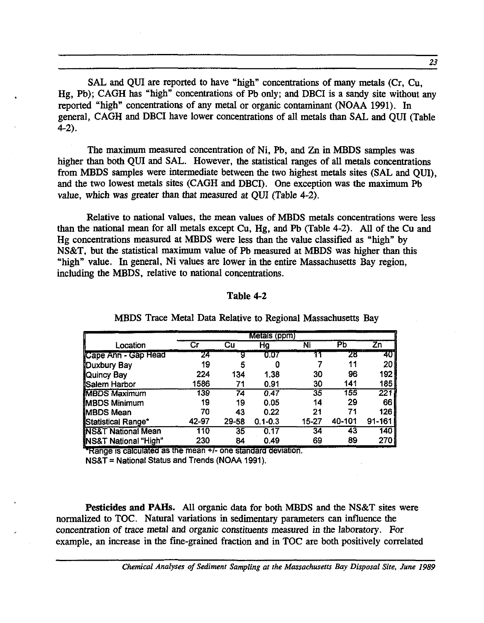SAL and QUI are reported to have "high" concentrations of many metals (Cr, Cu, Hg, Pb); CAGH has "high" concentrations of Pb only; and DBCI is a sandy site without any reported "high" concentrations of any metal or organic contaminant (NOAA 1991). In general, CAGH and DBCI have lower concentrations of all metals than SAL and QUI (Table 4-2).

The maximum measured concentration of Ni, Pb, and Zn in MBDS samples was higher than both QUI and SAL. However, the statistical ranges of all metals concentrations from MBDS samples were intermediate between the two highest metals sites (SAL and QUI), and the two lowest metals sites (CAGH and DBCI). One exception was the maximum Pb value, which was greater than that measured at QUI (Table 4-2).

Relative to national values, the mean values of MBDS metals concentrations were less than the national mean for all metals except Cu, Hg, and Pb (Table 4-2). All of the Cu and Hg concentrations measured at MBDS were less than the value classified as "high" by NS&T, but the statistical maximum value of Pb measured at MBDS was higher than this "high" value. In general, Ni values are lower in the entire Massachusetts Bay region, including the MBDS, relative to national concentrations. .

#### Table 4-2

|                               |       |       | Metals (ppm) |       |        |        |
|-------------------------------|-------|-------|--------------|-------|--------|--------|
| Location                      | Cг    | Cu    | Hg           | Ni    | Pb     | Zn     |
| Cape Ann - Gap Head           | 24    | 9     | 0.07         |       | 28     | 40     |
| Duxbury Bay                   | 19    | 5     |              |       | 11     | 20     |
| Quincy Bay                    | 224   | 134   | 1.38         | 30    | 96     | 192    |
| Salem Harbor                  | 1586  | 71    | 0.91         | 30    | 141    | 185    |
| <b>MBDS Maximum</b>           | 139   | 74    | 0,47         | 35    | 155    | 221    |
| <b>MBDS Minimum</b>           | 19    | 19    | 0.05         | 14    | 29     | 66     |
| <b>MBDS Mean</b>              | 70    | 43    | 0.22         | 21    | 71     | 126    |
| Statistical Range*            | 42-97 | 29-58 | $0.1 - 0.3$  | 15-27 | 40-101 | 91-161 |
| <b>NS&amp;T National Mean</b> | 110   | 35    | 0.17         | 34    | 43     | 140    |
| NS&T National "High"          | 230   | 84    | 0.49         | 69    | 89     | 270    |

MBDS Trace Metal Data Relative to Regional Massachusetts Bay

Range is calculated as the mean +/- one standard deviation.

 $NS&T = National Status and Trends (NOAA 1991).$ 

Pesticides and PAHs. All organic data for both MBDS and the NS&T sites were normalized to TOC. Natural variations in sedimentary parameters can influence the concentration of trace metal and organic constituents measured in the laboratory. For example, an increase in the fine-grained fraction and in TOC are both positively correlated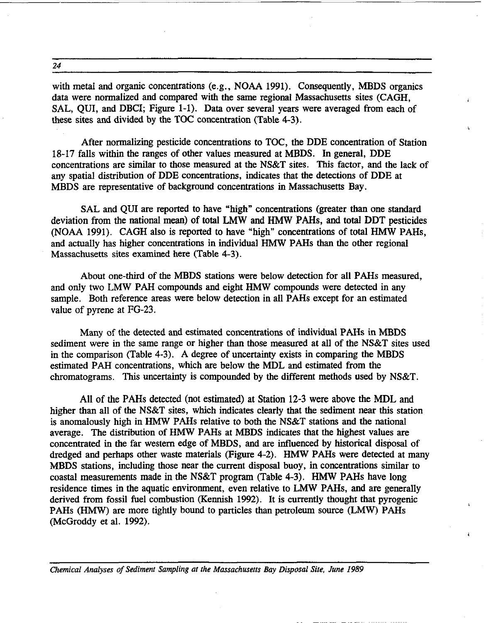24

with metal and organic concentrations (e.g., NOAA 1991). Consequently, MBDS organics data were normalized and compared with the same regional Massachusetts sites (CAGH, SAL, QUI, and DBCI; Figure 1-1). Data over several years were averaged from each of these sites and divided by the TOC concentration (Table 4-3).

.;

After normalizing pesticide concentrations to TOC, the DDE concentration of Station 18-17 falls within the ranges of other values measured at MBDS. In general, DDE concentrations are similar to those measured at the NS&T sites. This factor, and the lack of any spatial distribution of DDE concentrations, indicates that the detections of DDE at MBDS are representative of background concentrations in Massachusetts Bay.

SAL and QUI are reported to have "high" concentrations (greater than one standard deviation from the national mean) of total LMW and HMW PAHs, and total DDT pesticides (NOAA 1991). CAGH also is reported to have "high" concentrations of total HMW PAHs, and actually has higher concentrations in individual HMW PAHs than the other regional Massachusetts sites examined here (Table 4-3).

About one-third of the MBDS stations were below detection for all PAHs measured, and only two LMW PAH compounds and eight HMW compounds were detected in any sample. Both reference areas were below detection in all PAHs except for an estimated value of pyrene at FG-23.

Many of the detected and estimated concentrations of individual PAHs in MBDS sediment were in the same range or higher than those measured at all of the NS&T sites used in the comparison (Table 4-3). A degree of uncertainty exists in comparing the MBDS estimated PAH concentrations, which are below the MDL and estimated from the chromatograms. This uncertainty is compounded by the different methods used by NS&T.

All of the PAHs detected (not estimated) at Station 12-3 were above the MDL and higher than all of the NS&T sites, which indicates clearly that the sediment near this station is anomalously high in HMW PAHs relative to both the NS&T stations and the national average. The distribution of HMW PAHs at MBDS indicates that the highest values are concentrated in the far western edge of MBDS, and are influenced by historical disposal of dredged and perhaps other waste materials (Figure 4-2). HMW PAHs were detected at many MBDS stations, including those near the current disposal buoy, in concentrations similar to coastal measurements made in the NS&T program (Table 4-3). HMW PAHs have long residence times in the aquatic environment, even relative to LMW PAHs, and are generally derived from fossil fuel combustion (Kennish 1992). It is currently thought that pyrogenic PAHs (HMW) are more tightly bound to particles than petroleum source (LMW) PAHs (McGroddy et al. 1992).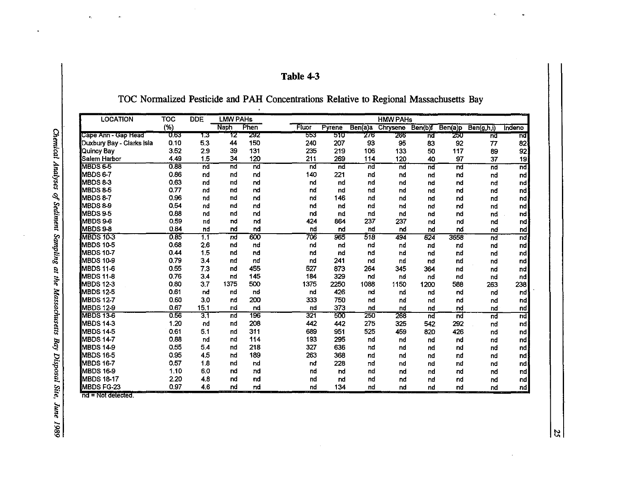| abie |  |
|------|--|
|------|--|

TOC Normalized Pesticide and PAH Concentrations Relative to Regional Massachusetts Bay

| <b>LOCATION</b>           | <b>TOC</b> | <b>DDE</b> | <b>LMW PAHs</b> |      |       | <b>HMW PAHs</b> |         |          |                 |         |            |                          |
|---------------------------|------------|------------|-----------------|------|-------|-----------------|---------|----------|-----------------|---------|------------|--------------------------|
|                           | (%)        |            | Naph            | Phen | Fluor | Pyrene          | Ben(a)a | Chrysene | Ben(b)f         | Ben(a)p | Ben(g,h,i) | Indeno                   |
| Cape Ann - Gap Head       | ठ हउ       | 1.3        | 12              | 292  | 553   | 510             | 276     | 266      | ਜ਼ਰ             | 250     | nđ         | 'nđ                      |
| Duxbury Bay - Clarks Isla | 0.10       | 5.3        | 44              | 150  | 240   | 207             | 93      | 95       | 83              | 92      | 77         | 82                       |
| Quincy Bay                | 3.52       | 2.9        | 39              | 131  | 235   | 219             | 106     | 133      | 50              | 117     | 89         | 92                       |
| Salem Harbor              | 4.49       | 1.5        | 34              | 120  | 211   | 269             | 114     | 120      | 40              | 97      | 37         | 19                       |
| MBDS 6-5                  | 0.88       | nd         | nd              | nd   | nd    | nd              | nd      | nd       | nd              | nd      | nd         | nd.                      |
| MBDS 6-7                  | 0.86       | nd         | nd              | nd   | 140   | 221             | nd      | nd       | nd              | nd      | nd         | nd                       |
| MBDS 8-3                  | 0.63       | nd         | nd              | nd   | nd    | nd              | nd      | nd       | nd              | nd      | nđ         | nd                       |
| MBDS 8-5                  | 0.77       | nd         | nd              | nd   | nd    | nd              | nd      | nd       | nd              | nd      | nđ         | nd.                      |
| <b>MBDS 8-7</b>           | 0.96       | nd         | nd              | nd   | nd    | 146             | nd      | nd       | nd              | nd      | nd         | nd                       |
| MBDS 8-9                  | 0.54       | nd         | nd              | nd   | nd    | nd              | nd      | nd       | nd              | nd      | nd         | nd                       |
| <b>IMBDS 9-5</b>          | 0.88       | nd         | nd              | nd   | nd    | nd              | nd      | nd       | nd              | nd      | nd         | nd                       |
| MBDS 9-6                  | 0.59       | nd         | nd              | nd   | 424   | 864             | 237     | 237      | nd              | nd      | nđ         | nd                       |
| MBDS 9-8                  | 0.84       | nd         | nd              | nd   | nd    | nd              | nd      | nd       | nd              | nd      | nd         | $\mathsf{nd}$            |
| <b>MBDS 10-3</b>          | 0.85       | 1.1        | nd              | 600  | 706   | 965             | 518     | 494      | 624             | 3658    | nď         | nd                       |
| MBDS 10-5                 | 0.68       | 2,6        | nd              | nd   | nd    | nd              | nd      | nd       | nd              | nd      | nd         | nd                       |
| MBDS 10-7                 | 0.44       | 1.5        | nd              | nd   | nd    | nd              | nd      | nd       | nd              | nd      | nd         | nd                       |
| <b>I</b> MBDS 10-9        | 0.79       | 3.4        | nd              | nd   | nd    | 241             | nd      | nd       | nd              | nd      | nd         | nd                       |
| <b>MBDS 11-6</b>          | 0.55       | 7.3        | nd              | 455  | 527   | 873             | 264     | 345      | 364             | nd      | nd         | nd                       |
| MBDS 11-8                 | 0.76       | 3.4        | nd              | 145  | 184   | 329             | nd      | nd       | nd              | nd      | nd         | nd                       |
| MBDS 12-3                 | 0.80       | 3.7        | 1375            | 500  | 1375  | 2250            | 1088    | 1150     | 1200            | 588     | 263        | 238                      |
| <b>IMBDS 12-5</b>         | 0.61       | nd         | nd              | nd   | nd    | 426             | nd      | nd       | nd              | nd      | nd         | nd                       |
| <b>MBDS 12-7</b>          | 0.60       | 3.0        | nd              | 200  | 333   | 750             | nd      | nd       | nd              | nd      | nd         | nd                       |
| <b>IMBDS 12-9</b>         | 0.67       | 15.1       | nd              | nd   | nd    | 373             | nd      | nd       | nd              | nd      | nd         | $\mathsf{nd}$            |
| <b>MBDS 13-6</b>          | 0.56       | 3.1        | nd              | 196  | 321   | 500             | 250     | 268      | $\overline{nd}$ | nd      | пd         | $\overline{\mathsf{nd}}$ |
| <b>MBDS 14-3</b>          | 1.20       | nd         | nd              | 208  | 442   | 442             | 275     | 325      | 542             | 292     | nd         | nd <sub>1</sub>          |
| <b>MBDS 14-5</b>          | 0.61       | 5.1        | nd              | 311  | 689   | 951             | 525     | 459      | 820             | 426     | nd         | nd                       |
| MBDS 14-7                 | 0.88       | nd         | nd              | 114  | 193   | 295             | пd      | nd       | nd              | nd      | nd         | nd                       |
| MBDS 14-9                 | 0.55       | 5.4        | nd              | 218  | 327   | 636             | nd      | nd       | nd              | nd      | nd         | nd,                      |
| <b>MBDS 16-5</b>          | 0.95       | 4.5        | nd              | 189  | 263   | 368             | nd      | nd       | nd              | nd      | nd         | nd                       |
| <b>MBDS 16-7</b>          | 0.57       | 1.8        | nd              | nd   | nd    | 228             | пđ      | nd       | nd              | nd      | nd         | nd                       |
| <b>MBDS 16-9</b>          | 1.10       | 6.0        | nd              | nd   | nd    | nd              | nd      | nd       | nd              | nd      | nd         | nd                       |
| <b>MBDS 18-17</b>         | 2.20       | 4.8        | nd              | пd   | nd    | nd              | nd      | nd       | nd              | nd      | nd         | nd                       |
| <b>MBDS FG-23</b>         | 0.97       | 4.6        | nd              | nd   | nd    | 134             | nd      | nd       | nd              | пd      | nd         | nd                       |

nd = Not detected.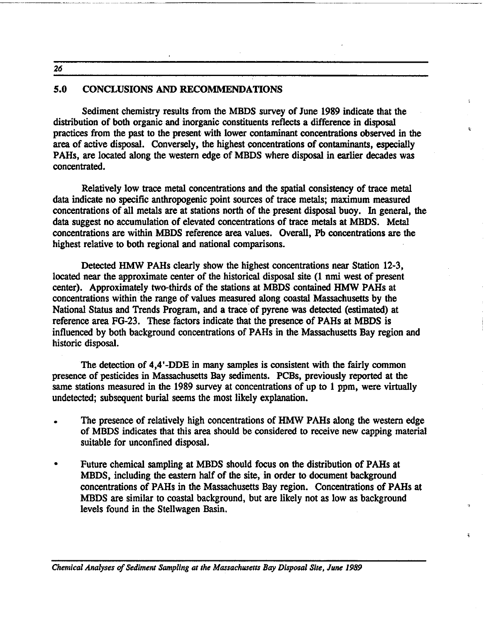26

-------------- ----

#### 5.0 CONCLUSIONS AND RECOMMENDATIONS

Sediment chemistry results from the MBDS survey of June 1989 indicate that the distribution of both organic and inorganic constituents reflects a difference in disposal practices from the past to the present with lower contaminant concentrations observed in the area of active disposal. Conversely, the highest concentrations of contaminants, especially PAHs, are located along the western edge of MBDS where disposal in earlier decades was concentrated.

Relatively low trace metal concentrations and the spatial consistency of trace metal data indicate no specific anthropogenic point sources of trace metals; maximum measured concentrations of all metals are at stations north of the present disposal buoy. In general, the data suggest no accumulation of elevated concentrations of trace metals at MBDS. Metal concentrations are within MBDS reference area values. Overall, Pb concentrations are the highest relative to both regional and national comparisons.

Detected HMW PAHs clearly show the highest concentrations near Station 12-3, located near the approximate center of the historical disposal site (1 nmi west of present center). Approximately two-thirds of the stations at MBDS contained HMW PAHs at concentrations within the range of values measured along coastal Massachusetts by the National Status and Trends Program, and a trace of pyrene was detected (estimated) at reference area FG-23. These factors indicate that the presence of PAHs at MBDS is influenced by both background concentrations of PAHs in the Massachusetts Bay region and historic disposal.

The detection of 4,4'-DDE in many samples is consistent with the fairly common presence of pesticides in Massachusetts Bay sediments. PCBs, previously reported at the same stations measured in the 1989 survey at concentrations of up to 1 ppm, were virtually undetected; subsequent burial seems the most likely explanation.

- The presence of relatively high concentrations of HMW PAHs along the western edge of MBDS indicates that this area should be considered to receive new capping material suitable for unconfined disposal.
- Future chemical sampling at MBDS should focus on the distribution of PAHs at MBDS, including the eastern half of the site, in order to document background concentrations of PAHs in the Massachusetts Bay region. Concentrations of PAHs at MBDS are similar to coastal background, but are likely not as low as background levels found in the Stellwagen Basin.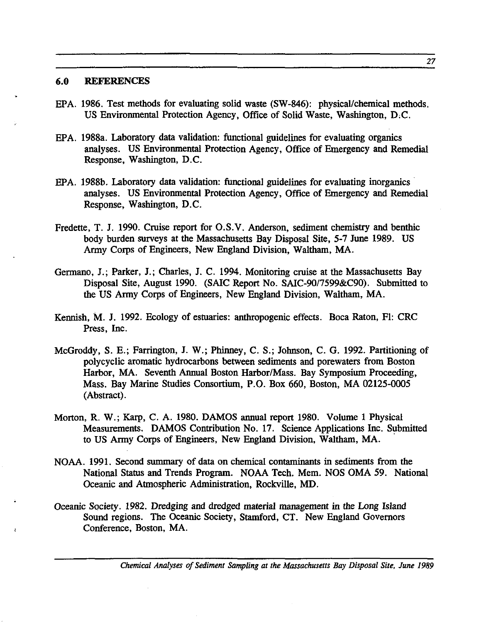#### 6.0 REFERENCES

- EPA. 1986. Test methods for evaluating solid waste (SW-846): physical/chemical methods. US Environmental Protection Agency, Office of Solid Waste, Washington, D,C.
- EPA. 1988a. Laboratory data validation: functional guidelines for evaluating organics analyses. US Environmental Protection Agency, Office of Emergency and Remedial Response, Washington, D.C.
- EPA. 1988b. Laboratory data validation: functional guidelines for evaluating inorganics analyses. US Environmental Protection Agency, Office of Emergency and Remedial Response, Washington, D.C.
- Fredette, T. J. 1990. Cruise report for O.S.V. Anderson, sediment chemistry and benthic body burden surveys at the Massachusetts Bay Disposal Site, 5-7 June 1989. US Army Corps of Engineers, New England Division, Waltham, MA.
- Germano, J.; Parker, J.; Charles, J. C. 1994. Monitoring cruise at the Massachusetts Bay Disposal Site, August 1990. (SAIC Report No. SAlC-9017599&C90). Submitted to the US Army Corps of Engineers, New England Division, Waltham, MA.
- Kennish, M. J. 1992. Ecology of estuaries: anthropogenic effects. Boca Raton, FI: CRC Press, Inc.
- McGroddy, S. E.; Farrington, J. W.; Phinney, C. S.; Johnson, C. G. 1992. Partitioning of polycyclic aromatic hydrocarbons between sediments and porewaters from Boston Harbor, MA. Seventh Annual Boston Harbor/Mass. Bay Symposium Proceeding, Mass. Bay Marine Studies Consortium, P.O. Box 660, Boston, MA 02125-0005 (Abstract) .
- Morton, R. W.; Karp, C. A. 1980. DAMOS annual report 1980. Volume 1 Physical Measurements. DAMOS Contribution No. 17. Science Applications Inc. Submitted to US Army Corps of Engineers, New England Division, Waltham, MA.
- NOAA. 1991. Second summary of data on chemical contaminants in sediments from the National Status and Trends Program. NOAA Tech. Mem. NOS OMA 59. National Oceanic and Atmospheric Administration, Rockville, MD.
- Oceanic Society. 1982. Dredging and dredged material management in the Long Island Sound regions. The Oceanic Society, Stamford, CT. New England Governors Conference, Boston, MA.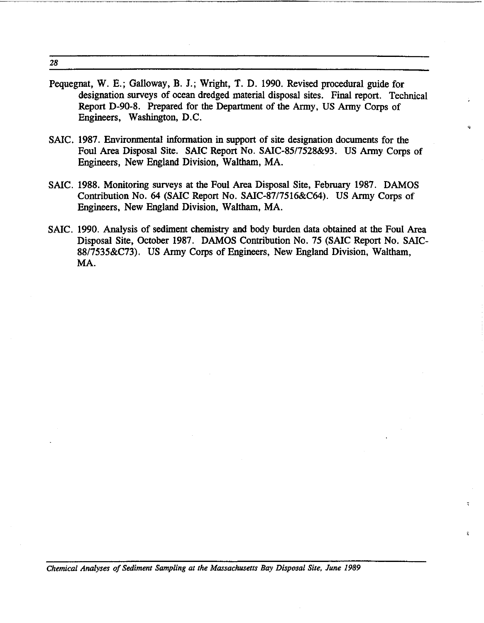28

- Pequegnat, W. E.; Galloway, B. J.; Wright, T. D. 1990. Revised procedural guide for designation surveys of ocean dredged material disposal sites. Final report. Technical Report D-90-8. Prepared for the Department of the Army, US Army Corps of Engineers, Washington, D.C.
- SAIC. 1987. Environmental information in support of site designation documents for the Foul Area Disposal Site. SAIC Report No. SAlC-8517528&93. US Army Corps of Engineers, New England Division, Waltham, MA.
- SAIC. 1988. Monitoring surveys at the Foul Area Disposal Site, February 1987. DAMOS Contribution No. 64 (SAIC Report No. SAlC-8717516&C64). US Army Corps of Engineers, New England Division, Waltham, MA.
- SAIC. 1990. Analysis of sediment chemistry and body burden data obtained at the Foul Area Disposal Site, October 1987. DAMOS Contribution No. 75 (SAIC Report No. SAlC-8817535&C73). US Army Corps of Engineers, New England Division, Waltham, MA.